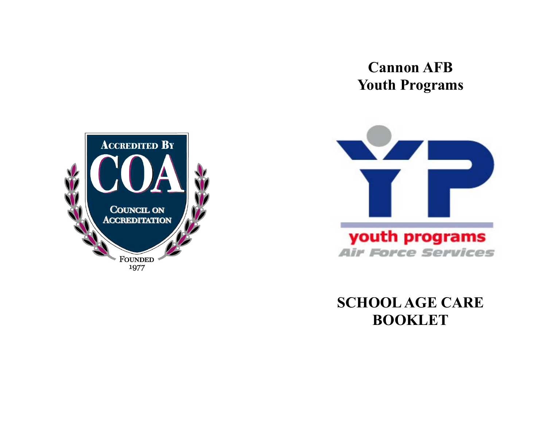# **Cannon AFB Youth Programs**





**SCHOOL AGE CARE BOOKLET**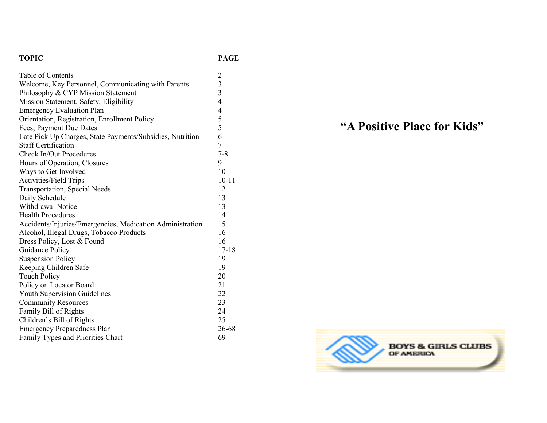#### **TOPIC PAGE**

| Table of Contents                                         |                         |
|-----------------------------------------------------------|-------------------------|
| Welcome, Key Personnel, Communicating with Parents        | $\frac{2}{3}$           |
| Philosophy & CYP Mission Statement                        | $\overline{\mathbf{3}}$ |
| Mission Statement, Safety, Eligibility                    | $\overline{4}$          |
| <b>Emergency Evaluation Plan</b>                          | 4                       |
| Orientation, Registration, Enrollment Policy              | 5                       |
| Fees, Payment Due Dates                                   | 5                       |
| Late Pick Up Charges, State Payments/Subsidies, Nutrition | 6                       |
| <b>Staff Certification</b>                                | 7                       |
| <b>Check In/Out Procedures</b>                            | $7 - 8$                 |
| Hours of Operation, Closures                              | 9                       |
| Ways to Get Involved                                      | 10                      |
| <b>Activities/Field Trips</b>                             | $10 - 11$               |
| Transportation, Special Needs                             | 12                      |
| Daily Schedule                                            | 13                      |
| <b>Withdrawal Notice</b>                                  | 13                      |
| <b>Health Procedures</b>                                  | 14                      |
| Accidents/Injuries/Emergencies, Medication Administration | 15                      |
| Alcohol, Illegal Drugs, Tobacco Products                  | 16                      |
| Dress Policy, Lost & Found                                | 16                      |
| Guidance Policy                                           | $17 - 18$               |
| <b>Suspension Policy</b>                                  | 19                      |
| Keeping Children Safe                                     | 19                      |
| <b>Touch Policy</b>                                       | 20                      |
| Policy on Locator Board                                   | 21                      |
| <b>Youth Supervision Guidelines</b>                       | 22                      |
| <b>Community Resources</b>                                | 23                      |
| Family Bill of Rights                                     | 24                      |
| Children's Bill of Rights                                 | 25                      |
| <b>Emergency Preparedness Plan</b>                        | 26-68                   |
| Family Types and Priorities Chart                         | 69                      |

# **"A Positive Place for Kids"**

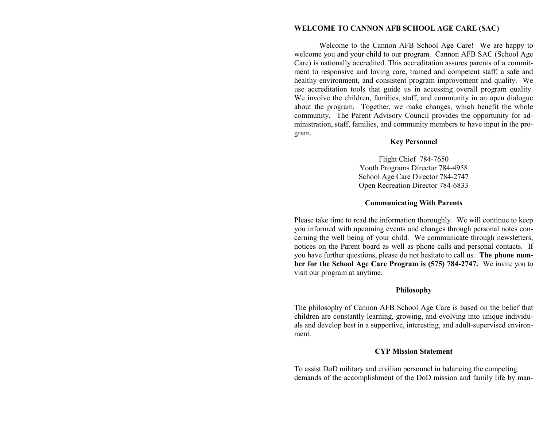#### **WELCOME TO CANNON AFB SCHOOL AGE CARE (SAC)**

Welcome to the Cannon AFB School Age Care! We are happy to welcome you and your child to our program. Cannon AFB SAC (School Age Care) is nationally accredited. This accreditation assures parents of a commitment to responsive and loving care, trained and competent staff, a safe and healthy environment, and consistent program improvement and quality. We use accreditation tools that guide us in accessing overall program quality. We involve the children, families, staff, and community in an open dialogue about the program. Together, we make changes, which benefit the whole community. The Parent Advisory Council provides the opportunity for administration, staff, families, and community members to have input in the program.

#### **Key Personnel**

Flight Chief 784-7650 Youth Programs Director 784-4958 School Age Care Director 784-2747 Open Recreation Director 784-6833

#### **Communicating With Parents**

Please take time to read the information thoroughly. We will continue to keep you informed with upcoming events and changes through personal notes concerning the well being of your child. We communicate through newsletters, notices on the Parent board as well as phone calls and personal contacts. If you have further questions, please do not hesitate to call us. **The phone number for the School Age Care Program is (575) 784-2747.** We invite you to visit our program at anytime.

#### **Philosophy**

The philosophy of Cannon AFB School Age Care is based on the belief that children are constantly learning, growing, and evolving into unique individuals and develop best in a supportive, interesting, and adult-supervised environment.

#### **CYP Mission Statement**

To assist DoD military and civilian personnel in balancing the competing demands of the accomplishment of the DoD mission and family life by man-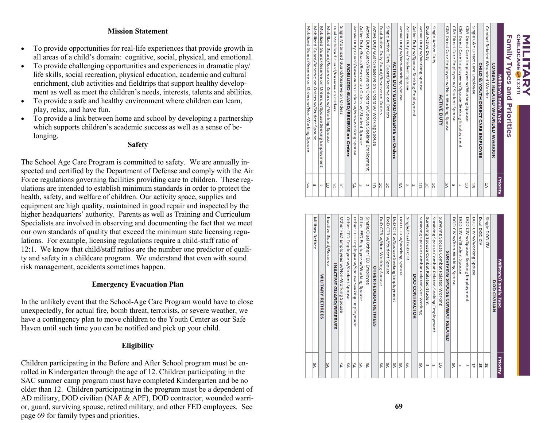# MILITARY<br>MILITARY

| Family Types and Priorities                                     |          |
|-----------------------------------------------------------------|----------|
| Military/Family Type                                            | Priority |
| <b>COMBAT RELATED WOUNDED WARRIOR</b>                           |          |
| Combat Related Wounded Warrior                                  | 5        |
| CHILD & YOUTH DIRECT CARE EMPLOYEE                              |          |
| Single C&Y Direct Care Employee                                 | 5        |
| C&Y Direct Care Employee w/Working Spouse                       | 붑        |
| C&Y Direct Care Employee w/Spouse Seeking Employment            | Ν        |
| C&Y Direct Care Employee w/ Student Spouse                      | ω        |
| C&Y Direct Care Employee w/Non-Working Spouse                   | SA       |
| <b>ACTIVE DUTY</b>                                              |          |
| Single Active Duty                                              | 5        |
| Dual Active Duty                                                | 5        |
| Active Duty w/Working Spouse                                    | ă        |
| Active Duty w/Spouse Seeking Employment                         | N        |
| Active Duty w/ Student Spouse                                   | ω        |
| Active Duty w/Non-Working Spouse                                | ٧S       |
| <b>ACTIVE DUTY GUARD/RESERVE on Orders</b>                      |          |
| Single Active Duty Guard/Reserve on Orders                      | ă        |
| Dual Active Duty Guard/Reserve on Orders                        | ă        |
| Active Duty Guard/Reserve on Orders w/ Working Spouse           | ă        |
| Active Duty Guard/Reserve on Orders w/Spouse Seeking Employment | N        |
| Active Duty Guard/Reserve on Orders w/ Student Spouse           | ω        |
| Active Duty Guard/Reserve on Orders w/Non-Working Spouse        | ۴Ś       |
| MOBILIZED GUARD/RESERVE on Orders                               |          |
| Single Mobilized Guard/Reserve on Orders                        | ă        |
| Dual Mobilized Guard/Reserve on Orders                          | ă        |
| Mobilized Guard/Reserve on Orders w/ Working Spouse             | ă        |

Mobilized Guard/Reserve o<br>Mobilized Guard/Reserve o<br>Mobilized Guard/Reserve o

on Orders w/Spouse Seeking Empl<br>on Orders w/Student Spouse<br>on Orders w/Non-Working Spouse

لا ∣∞

| ΔR           | <b>Military Retiree</b>                            |
|--------------|----------------------------------------------------|
|              | <b>MILITARY RETIREES</b>                           |
| ٧S           | Inactive Guard/Reserve                             |
|              | <b>INACTIVE GUARD/RESERVES</b>                     |
| ۴Ś           | Other FED Employees w/Non-Working Spouse           |
| SA           | Other FED Employee w/Student Spouse                |
| δÁ           | Other FED Employee w/Spouse Seeking Employment     |
| SA           | Other FED Employee w/Working Spouse                |
| ٧S           | Single/Dual Other FED Employee                     |
|              | <b>OTHER FEDERAL RETIREES</b>                      |
| SA           | DoD CTR w/Non-Working Spouse                       |
| ٧S           | DoD CTR w/Student Spouse                           |
| SA           | DoD CTR w/Spouse Seeking Employment                |
| ٧S           | DoD CTR w/Working Spouse                           |
| SA           | Single/Dual DoD<br>CTR                             |
|              | <b>DOD CONTRACTOR</b>                              |
| ٧S           | Surviving Spouse Combat Related-Not Working        |
| ω            | Surviving Spouse Combat Related-Student            |
| $\mathbf{v}$ | Surviving Spouse Combat Related-Seeking Employment |
| 5            | Surviving Spouse Combat Related-Working            |
|              | SURVIVING SPOUSE COMBAT RELATED                    |
| ٧S           | DOD CIV w/Non-Working Spouse                       |
| ω            | DOD CIV w/Student Spouse                           |
| Z            | DOD CIV w/Spouse Seeking Employment                |
| 뷰            | DOD CIV w/Working Spouse                           |
| 뷰            | Dual DOD CIV                                       |
| 冨            | Single DOD CIV                                     |
|              | <b>DOD CIVILIAN</b>                                |
| Priority     | Military/Family Type                               |
|              |                                                    |

#### **Mission Statement**

- To provide opportunities for real -life experiences that provide growth in all areas of a child's domain: cognitive, social, physical, and emotional.
- To provide challenging opportunities and experiences in dramatic play/ life skills, social recreation, physical education, academic and cultural enrichment, club activities and fieldtrips that support healthy development as well as meet the children's needs, interests, talents and abilities.
- To provide a safe and healthy environment where children can learn, play, relax, and have fun.
- To provide a link between home and school by developing a partnership which supports children's academic success as well as a sense of belonging.

#### **Safety**

The School Age Care Program is committed to safety. We are annually inspected and certified by the Department of Defense and comply with the Air Force regulations governing facilities providing care to children. These reg ulations are intended to establish minimum standards in order to protect the health, safety, and welfare of children. Our activity space, supplies and equipment are high quality, maintained in good repair and inspected by the higher headquarters' authority. Parents as well as Training and Curriculum Specialists are involved in observing and documenting the fact that we meet our own standards of quality that exceed the minimum state licensing regulations. For example, licensing regulations require a child-staff ratio of 12:1. We know that child/staff ratios are the number one predictor of quality and safety in a childcare program. We understand that even with sound risk management, accidents sometimes happen.

### **Emergency Evacuation Plan**

In the unlikely event that the School -Age Care Program would have to close unexpectedly, for actual fire, bomb threat, terrorists, or severe weather, we have a contingency plan to move children to the Youth Center as our Safe Haven until such time you can be notified and pick up your child.

### **Eligibility**

Children participating in the Before and After School program must be enrolled in Kindergarten through the age of 12. Children participating in the SAC summer camp program must have completed Kindergarten and be no older than 12. Children participating in the program must be a dependent of AD military, DOD civilian (NAF & APF), DOD contractor, wounded warrior, guard, surviving spouse, retired military, and other FED employees. See page 69 for family types and priorities.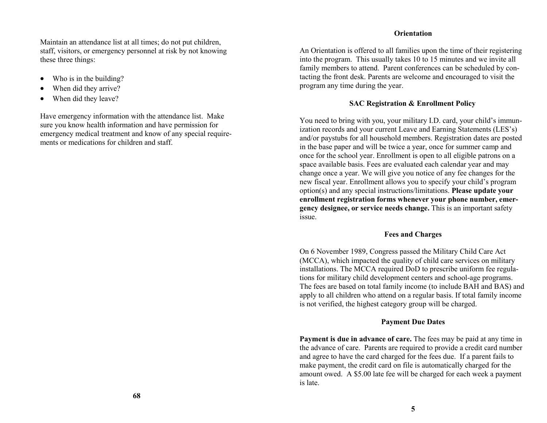Maintain an attendance list at all times; do not put children, staff, visitors, or emergency personnel at risk by not knowing these three things:

- Who is in the building?
- When did they arrive?
- When did they leave?

Have emergency information with the attendance list. Make sure you know health information and have permission for emergency medical treatment and know of any special requirements or medications for children and staff.

#### **Orientation**

An Orientation is offered to all families upon the time of their registering into the program. This usually takes 10 to 15 minutes and we invite all family members to attend. Parent conferences can be scheduled by contacting the front desk. Parents are welcome and encouraged to visit the program any time during the year.

#### **SAC Registration & Enrollment Policy**

You need to bring with you, your military I.D. card, your child's immunization records and your current Leave and Earning Statements (LES's) and/or paystubs for all household members. Registration dates are posted in the base paper and will be twice a year, once for summer camp and once for the school year. Enrollment is open to all eligible patrons on a space available basis. Fees are evaluated each calendar year and may change once a year. We will give you notice of any fee changes for the new fiscal year. Enrollment allows you to specify your child's program option(s) and any special instructions/limitations. **Please update your enrollment registration forms whenever your phone number, emergency designee, or service needs change.** This is an important safety issue.

#### **Fees and Charges**

On 6 November 1989, Congress passed the Military Child Care Act (MCCA), which impacted the quality of child care services on military installations. The MCCA required DoD to prescribe uniform fee regulations for military child development centers and school-age programs. The fees are based on total family income (to include BAH and BAS) and apply to all children who attend on a regular basis. If total family income is not verified, the highest category group will be charged.

#### **Payment Due Dates**

**Payment is due in advance of care.** The fees may be paid at any time in the advance of care. Parents are required to provide a credit card number and agree to have the card charged for the fees due. If a parent fails to make payment, the credit card on file is automatically charged for the amount owed. A \$5.00 late fee will be charged for each week a payment is late.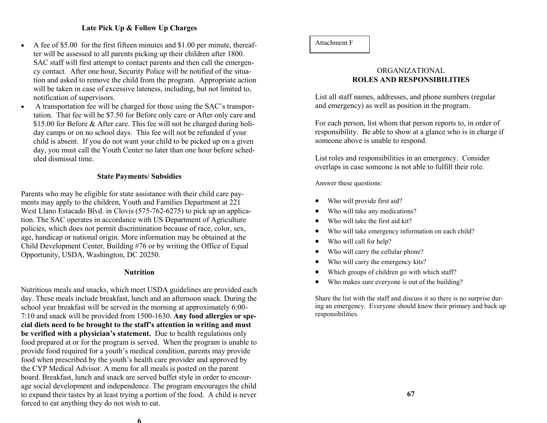#### **Late Pick Up & Follow Up Charges**

- A fee of \$5.00 for the first fifteen minutes and \$1.00 per minute, thereafter will be assessed to all parents picking up their children after 1800. SAC staff will first attempt to contact parents and then call the emergency contact. After one hour, Security Police will be notified of the situation and asked to remove the child from the program. Appropriate action will be taken in case of excessive lateness, including, but not limited to, notification of supervisors.
- A transportation fee will be charged for those using the SAC's transportation. That fee will be \$7.50 for Before only care or After only care and \$15.00 for Before & After care. This fee will not be charged during holiday camps or on no school days. This fee will not be refunded if your child is absent. If you do not want your child to be picked up on a given day, you must call the Youth Center no later than one hour before scheduled dismissal time.

#### **State Payments/ Subsidies**

Parents who may be eligible for state assistance with their child care payments may apply to the children, Youth and Families Department at 221 West Llano Estacado Blvd. in Clovis (575-762-6275) to pick up an application. The SAC operates in accordance with US Department of Agriculture policies, which does not permit discrimination because of race, color, sex, age, handicap or national origin. More information may be obtained at the Child Development Center, Building #76 or by writing the Office of Equal Opportunity, USDA, Washington, DC 20250.

#### **Nutrition**

Nutritious meals and snacks, which meet USDA guidelines are provided each day. These meals include breakfast, lunch and an afternoon snack. During the school year breakfast will be served in the morning at approximately 6:00- 7:10 and snack will be provided from 1500-1630. **Any food allergies or special diets need to be brought to the staff's attention in writing and must be verified with a physician's statement.** Due to health regulations only food prepared at or for the program is served. When the program is unable to provide food required for a youth's medical condition, parents may provide food when prescribed by the youth's health care provider and approved by the CYP Medical Advisor. A menu for all meals is posted on the parent board. Breakfast, lunch and snack are served buffet style in order to encourage social development and independence. The program encourages the child to expand their tastes by at least trying a portion of the food. A child is never forced to eat anything they do not wish to eat.

#### ORGANIZATIONAL **ROLES AND RESPONSIBILITIES**

List all staff names, addresses, and phone numbers (regular and emergency) as well as position in the program.

For each person, list whom that person reports to, in order of responsibility. Be able to show at a glance who is in charge if someone above is unable to respond.

List roles and responsibilities in an emergency. Consider overlaps in case someone is not able to fulfill their role.

Answer these questions:

- Who will provide first aid?
- Who will take any medications?
- Who will take the first aid kit?
- Who will take emergency information on each child?
- Who will call for help?
- Who will carry the cellular phone?
- Who will carry the emergency kits?
- Which groups of children go with which staff?
- Who makes sure everyone is out of the building?

Share the list with the staff and discuss it so there is no surprise during an emergency. Everyone should know their primary and back up responsibilities.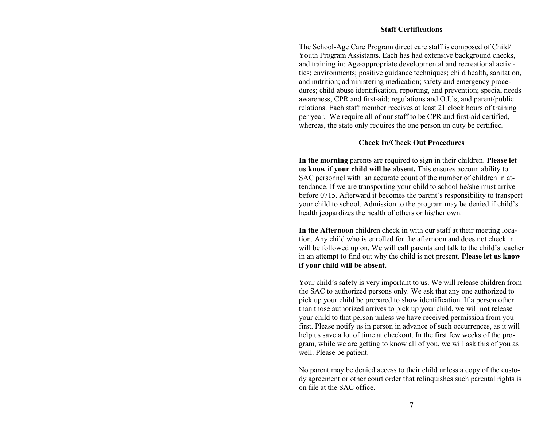#### **Staff Certifications**

The School-Age Care Program direct care staff is composed of Child/ Youth Program Assistants. Each has had extensive background checks, and training in: Age-appropriate developmental and recreational activities; environments; positive guidance techniques; child health, sanitation, and nutrition; administering medication; safety and emergency procedures; child abuse identification, reporting, and prevention; special needs awareness; CPR and first-aid; regulations and O.I.'s, and parent/public relations. Each staff member receives at least 21 clock hours of training per year. We require all of our staff to be CPR and first-aid certified, whereas, the state only requires the one person on duty be certified.

#### **Check In/Check Out Procedures**

**In the morning** parents are required to sign in their children. **Please let us know if your child will be absent.** This ensures accountability to SAC personnel with an accurate count of the number of children in attendance. If we are transporting your child to school he/she must arrive before 0715. Afterward it becomes the parent's responsibility to transport your child to school. Admission to the program may be denied if child's health jeopardizes the health of others or his/her own.

**In the Afternoon** children check in with our staff at their meeting location. Any child who is enrolled for the afternoon and does not check in will be followed up on. We will call parents and talk to the child's teacher in an attempt to find out why the child is not present. **Please let us know if your child will be absent.**

Your child's safety is very important to us. We will release children from the SAC to authorized persons only. We ask that any one authorized to pick up your child be prepared to show identification. If a person other than those authorized arrives to pick up your child, we will not release your child to that person unless we have received permission from you first. Please notify us in person in advance of such occurrences, as it will help us save a lot of time at checkout. In the first few weeks of the program, while we are getting to know all of you, we will ask this of you as well. Please be patient.

No parent may be denied access to their child unless a copy of the custody agreement or other court order that relinquishes such parental rights is on file at the SAC office.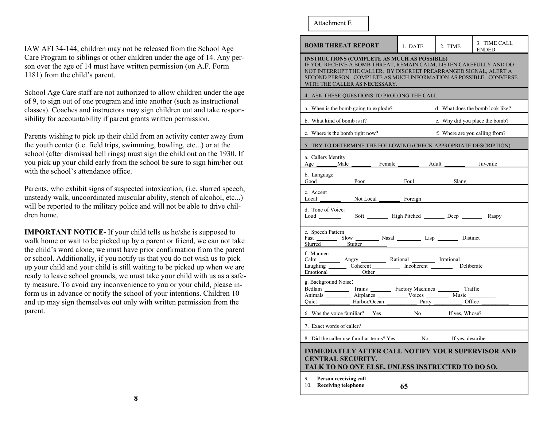IAW AFI 34-144, children may not be released from the School Age Care Program to siblings or other children under the age of 14. Any person over the age of 14 must have written permission (on A.F. Form 1181) from the child's parent.

School Age Care staff are not authorized to allow children under the age of 9, to sign out of one program and into another (such as instructional classes). Coaches and instructors may sign children out and take responsibility for accountability if parent grants written permission.

Parents wishing to pick up their child from an activity center away from the youth center (i.e. field trips, swimming, bowling, etc...) or at the school (after dismissal bell rings) must sign the child out on the 1930. If you pick up your child early from the school be sure to sign him/her out with the school's attendance office.

Parents, who exhibit signs of suspected intoxication, (i.e. slurred speech, unsteady walk, uncoordinated muscular ability, stench of alcohol, etc...) will be reported to the military police and will not be able to drive children home.

**IMPORTANT NOTICE-** If your child tells us he/she is supposed to walk home or wait to be picked up by a parent or friend, we can not take the child's word alone; we must have prior confirmation from the parent or school. Additionally, if you notify us that you do not wish us to pick up your child and your child is still waiting to be picked up when we are ready to leave school grounds, we must take your child with us as a safety measure. To avoid any inconvenience to you or your child, please inform us in advance or notify the school of your intentions. Children 10 and up may sign themselves out only with written permission from the parent.

#### Attachment E

| <b>BOMB THREAT REPORT</b>                                                                                                                    | 1. DATE                                                                                                                                                                                                                                                            | 2. TIME                        | 3. TIME CALL<br>ENDED            |  |  |
|----------------------------------------------------------------------------------------------------------------------------------------------|--------------------------------------------------------------------------------------------------------------------------------------------------------------------------------------------------------------------------------------------------------------------|--------------------------------|----------------------------------|--|--|
| WITH THE CALLER AS NECESSARY.                                                                                                                | <b>INSTRUCTIONS (COMPLETE AS MUCH AS POSSIBLE)</b><br>IF YOU RECEIVE A BOMB THREAT, REMAIN CALM, LISTEN CAREFULLY AND DO<br>NOT INTERRUPT THE CALLER. BY DISCREET PREARRANGED SIGNAL, ALERT A<br>SECOND PERSON. COMPLETE AS MUCH INFORMATION AS POSSIBLE. CONVERSE |                                |                                  |  |  |
| 4. ASK THESE QUESTIONS TO PROLONG THE CALL                                                                                                   |                                                                                                                                                                                                                                                                    |                                |                                  |  |  |
| a. When is the bomb going to explode?                                                                                                        |                                                                                                                                                                                                                                                                    |                                | d. What does the bomb look like? |  |  |
| b. What kind of bomb is it?                                                                                                                  |                                                                                                                                                                                                                                                                    |                                | e. Why did you place the bomb?   |  |  |
| c. Where is the bomb right now?                                                                                                              |                                                                                                                                                                                                                                                                    | f. Where are you calling from? |                                  |  |  |
| 5. TRY TO DETERMINE THE FOLLOWING (CHECK APPROPRIATE DESCRIPTION)                                                                            |                                                                                                                                                                                                                                                                    |                                |                                  |  |  |
| a. Callers Identity<br>Age Male<br>Female                                                                                                    | Adult _                                                                                                                                                                                                                                                            |                                | Juvenile                         |  |  |
| b. Language<br>Good<br>Poor                                                                                                                  | Foul Slang                                                                                                                                                                                                                                                         |                                |                                  |  |  |
| c. Accent<br>Local $\qquad$<br>Not Local Foreign                                                                                             |                                                                                                                                                                                                                                                                    |                                |                                  |  |  |
| d. Tone of Voice:<br>Soft __________ High Pitched ___________ Deep ____________ Raspy<br>Loud                                                |                                                                                                                                                                                                                                                                    |                                |                                  |  |  |
| e. Speech Pattern<br>Fast Slow Nasal Lisp Lisp Distinct<br>Slurred Stutter                                                                   |                                                                                                                                                                                                                                                                    |                                |                                  |  |  |
| f. Manner:<br>Calm _________ Angry __________ Rational _________ Irrational<br>Laughing Coherent Incoherent Deliberate<br>Emotional<br>Other |                                                                                                                                                                                                                                                                    |                                |                                  |  |  |
| g. Background Noise:<br>Harbor/Ocean<br>Ouiet                                                                                                |                                                                                                                                                                                                                                                                    | Party Office                   |                                  |  |  |
|                                                                                                                                              |                                                                                                                                                                                                                                                                    |                                |                                  |  |  |
| 7. Exact words of caller?                                                                                                                    |                                                                                                                                                                                                                                                                    |                                |                                  |  |  |
|                                                                                                                                              |                                                                                                                                                                                                                                                                    |                                |                                  |  |  |
| <b>IMMEDIATELY AFTER CALL NOTIFY YOUR SUPERVISOR AND</b><br><b>CENTRAL SECURITY.</b><br>TALK TO NO ONE ELSE, UNLESS INSTRUCTED TO DO SO.     |                                                                                                                                                                                                                                                                    |                                |                                  |  |  |
| 9.<br>Person receiving call<br>10. Receiving telephone                                                                                       | 65                                                                                                                                                                                                                                                                 |                                |                                  |  |  |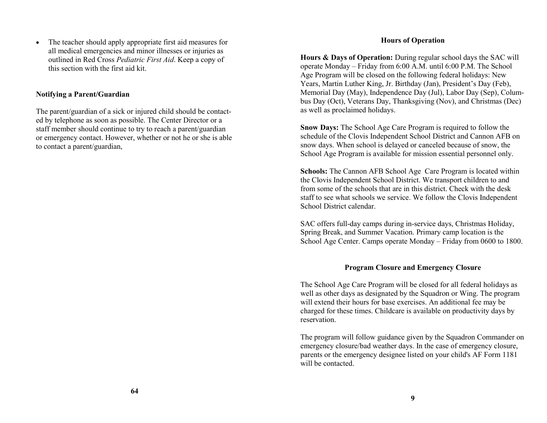The teacher should apply appropriate first aid measures for all medical emergencies and minor illnesses or injuries as outlined in Red Cross *Pediatric First Aid*. Keep a copy of this section with the first aid kit.

### **Notifying a Parent/Guardian**

The parent/guardian of a sick or injured child should be contacted by telephone as soon as possible. The Center Director or a staff member should continue to try to reach a parent/guardian or emergency contact. However, whether or not he or she is able to contact a parent/guardian,

#### **Hours of Operation**

**Hours & Days of Operation:** During regular school days the SAC will operate Monday – Friday from 6:00 A.M. until 6:00 P.M. The School Age Program will be closed on the following federal holidays: New Years, Martin Luther King, Jr. Birthday (Jan), President's Day (Feb), Memorial Day (May), Independence Day (Jul), Labor Day (Sep), Columbus Day (Oct), Veterans Day, Thanksgiving (Nov), and Christmas (Dec) as well as proclaimed holidays.

**Snow Days:** The School Age Care Program is required to follow the schedule of the Clovis Independent School District and Cannon AFB on snow days. When school is delayed or canceled because of snow, the School Age Program is available for mission essential personnel only.

**Schools:** The Cannon AFB School Age Care Program is located within the Clovis Independent School District. We transport children to and from some of the schools that are in this district. Check with the desk staff to see what schools we service. We follow the Clovis Independent School District calendar.

SAC offers full-day camps during in-service days, Christmas Holiday, Spring Break, and Summer Vacation. Primary camp location is the School Age Center. Camps operate Monday – Friday from 0600 to 1800.

### **Program Closure and Emergency Closure**

The School Age Care Program will be closed for all federal holidays as well as other days as designated by the Squadron or Wing. The program will extend their hours for base exercises. An additional fee may be charged for these times. Childcare is available on productivity days by reservation.

The program will follow guidance given by the Squadron Commander on emergency closure/bad weather days. In the case of emergency closure, parents or the emergency designee listed on your child's AF Form 1181 will be contacted.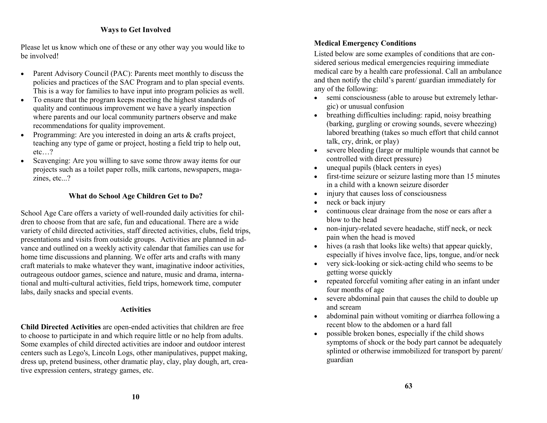#### **Ways to Get Involved**

Please let us know which one of these or any other way you would like to be involved!

- Parent Advisory Council (PAC): Parents meet monthly to discuss the policies and practices of the SAC Program and to plan special events. This is a way for families to have input into program policies as well.
- To ensure that the program keeps meeting the highest standards of quality and continuous improvement we have a yearly inspection where parents and our local community partners observe and make recommendations for quality improvement.
- Programming: Are you interested in doing an arts & crafts project, teaching any type of game or project, hosting a field trip to help out, etc…?
- Scavenging: Are you willing to save some throw away items for our projects such as a toilet paper rolls, milk cartons, newspapers, magazines, etc...?

#### **What do School Age Children Get to Do?**

School Age Care offers a variety of well-rounded daily activities for children to choose from that are safe, fun and educational. There are a wide variety of child directed activities, staff directed activities, clubs, field trips, presentations and visits from outside groups. Activities are planned in advance and outlined on a weekly activity calendar that families can use for home time discussions and planning. We offer arts and crafts with many craft materials to make whatever they want, imaginative indoor activities, outrageous outdoor games, science and nature, music and drama, international and multi-cultural activities, field trips, homework time, computer labs, daily snacks and special events.

#### **Activities**

**Child Directed Activities** are open-ended activities that children are free to choose to participate in and which require little or no help from adults. Some examples of child directed activities are indoor and outdoor interest centers such as Lego's, Lincoln Logs, other manipulatives, puppet making, dress up, pretend business, other dramatic play, clay, play dough, art, creative expression centers, strategy games, etc.

#### **Medical Emergency Conditions**

Listed below are some examples of conditions that are considered serious medical emergencies requiring immediate medical care by a health care professional. Call an ambulance and then notify the child's parent/ guardian immediately for any of the following:

- semi consciousness (able to arouse but extremely lethargic) or unusual confusion
- breathing difficulties including: rapid, noisy breathing (barking, gurgling or crowing sounds, severe wheezing) labored breathing (takes so much effort that child cannot talk, cry, drink, or play)
- severe bleeding (large or multiple wounds that cannot be controlled with direct pressure)
- unequal pupils (black centers in eyes)
- first-time seizure or seizure lasting more than 15 minutes in a child with a known seizure disorder
- injury that causes loss of consciousness
- neck or back injury
- continuous clear drainage from the nose or ears after a blow to the head
- non-injury-related severe headache, stiff neck, or neck pain when the head is moved
- hives (a rash that looks like welts) that appear quickly, especially if hives involve face, lips, tongue, and/or neck
- very sick-looking or sick-acting child who seems to be getting worse quickly
- repeated forceful vomiting after eating in an infant under four months of age
- severe abdominal pain that causes the child to double up and scream
- abdominal pain without vomiting or diarrhea following a recent blow to the abdomen or a hard fall
- possible broken bones, especially if the child shows symptoms of shock or the body part cannot be adequately splinted or otherwise immobilized for transport by parent/ guardian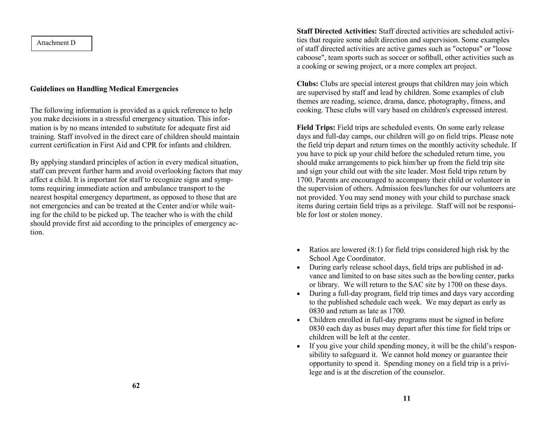Attachment D

#### **Guidelines on Handling Medical Emergencies**

The following information is provided as a quick reference to help you make decisions in a stressful emergency situation. This information is by no means intended to substitute for adequate first aid training. Staff involved in the direct care of children should maintain current certification in First Aid and CPR for infants and children.

By applying standard principles of action in every medical situation, staff can prevent further harm and avoid overlooking factors that may affect a child. It is important for staff to recognize signs and symptoms requiring immediate action and ambulance transport to the nearest hospital emergency department, as opposed to those that are not emergencies and can be treated at the Center and/or while waiting for the child to be picked up. The teacher who is with the child should provide first aid according to the principles of emergency action.

**Staff Directed Activities:** Staff directed activities are scheduled activities that require some adult direction and supervision. Some examples of staff directed activities are active games such as "octopus" or "loose caboose", team sports such as soccer or softball, other activities such as a cooking or sewing project, or a more complex art project.

**Clubs:** Clubs are special interest groups that children may join which are supervised by staff and lead by children. Some examples of club themes are reading, science, drama, dance, photography, fitness, and cooking. These clubs will vary based on children's expressed interest.

**Field Trips:** Field trips are scheduled events. On some early release days and full-day camps, our children will go on field trips. Please note the field trip depart and return times on the monthly activity schedule. If you have to pick up your child before the scheduled return time, you should make arrangements to pick him/her up from the field trip site and sign your child out with the site leader. Most field trips return by 1700. Parents are encouraged to accompany their child or volunteer in the supervision of others. Admission fees/lunches for our volunteers are not provided. You may send money with your child to purchase snack items during certain field trips as a privilege. Staff will not be responsible for lost or stolen money.

- Ratios are lowered  $(8:1)$  for field trips considered high risk by the School Age Coordinator.
- During early release school days, field trips are published in advance and limited to on base sites such as the bowling center, parks or library. We will return to the SAC site by 1700 on these days.
- During a full-day program, field trip times and days vary according to the published schedule each week. We may depart as early as 0830 and return as late as 1700.
- Children enrolled in full-day programs must be signed in before 0830 each day as buses may depart after this time for field trips or children will be left at the center.
- If you give your child spending money, it will be the child's responsibility to safeguard it. We cannot hold money or guarantee their opportunity to spend it. Spending money on a field trip is a privilege and is at the discretion of the counselor.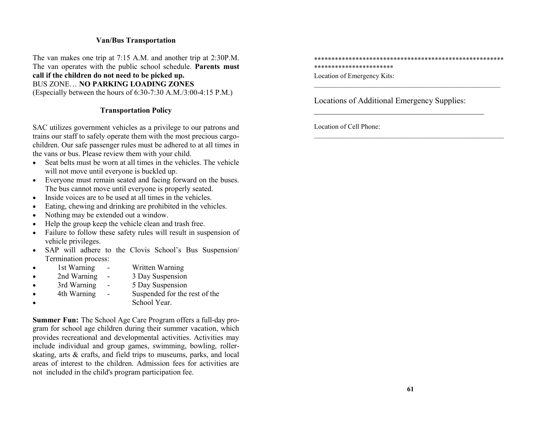#### **Van/Bus Transportation**

The van makes one trip at 7:15 A.M. and another trip at 2:30P.M. The van operates with the public school schedule. **Parents must call if the children do not need to be picked up.** BUS ZONE… **NO PARKING LOADING ZONES** 

(Especially between the hours of 6:30-7:30 A.M./3:00-4:15 P.M.)

#### **Transportation Policy**

SAC utilizes government vehicles as a privilege to our patrons and trains our staff to safely operate them with the most precious cargochildren. Our safe passenger rules must be adhered to at all times in the vans or bus. Please review them with your child.

- Seat belts must be worn at all times in the vehicles. The vehicle will not move until everyone is buckled up.
- Everyone must remain seated and facing forward on the buses. The bus cannot move until everyone is properly seated.
- Inside voices are to be used at all times in the vehicles.
- Eating, chewing and drinking are prohibited in the vehicles.
- Nothing may be extended out a window.
- Help the group keep the vehicle clean and trash free.
- Failure to follow these safety rules will result in suspension of vehicle privileges.
- SAP will adhere to the Clovis School's Bus Suspension/ Termination process:
- 1st Warning Written Warning
- 2nd Warning 3 Day Suspension
- 3rd Warning 5 Day Suspension
- 4th Warning Suspended for the rest of the School Year.

**Summer Fun:** The School Age Care Program offers a full-day program for school age children during their summer vacation, which provides recreational and developmental activities. Activities may include individual and group games, swimming, bowling, rollerskating, arts & crafts, and field trips to museums, parks, and local areas of interest to the children. Admission fees for activities are not included in the child's program participation fee.

\*\*\*\*\*\*\*\*\*\*\*\*\*\*\*\*\*\*\*\*\*\*\*\*\*\*\*\*\*\*\*\*\*\*\*\*\*\*\*\*\*\*\*\*\*\*\*\*\*\*\*\*\*\*\* \*\*\*\*\*\*\*\*\*\*\*\*\*\*\*\*\*\*\*\*\*\*\* Location of Emergency Kits:

 $\mathcal{L}_\text{max}$  , and the contract of the contract of the contract of the contract of the contract of the contract of the contract of the contract of the contract of the contract of the contract of the contract of the contr

 $\_$  , and the set of the set of the set of the set of the set of the set of the set of the set of the set of the set of the set of the set of the set of the set of the set of the set of the set of the set of the set of th

Locations of Additional Emergency Supplies:

Location of Cell Phone: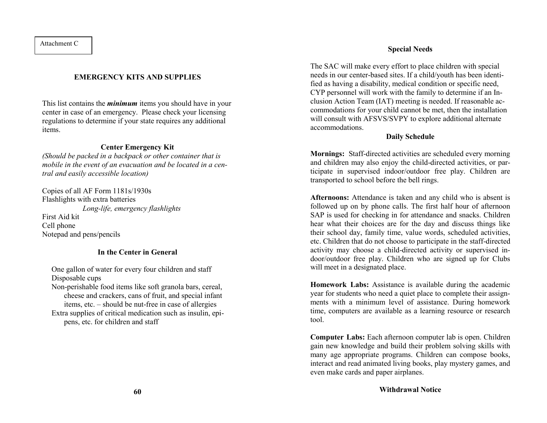#### Attachment C

#### **EMERGENCY KITS AND SUPPLIES**

This list contains the *minimum* items you should have in your center in case of an emergency. Please check your licensing regulations to determine if your state requires any additional items.

#### **Center Emergency Kit**

*(Should be packed in a backpack or other container that is mobile in the event of an evacuation and be located in a central and easily accessible location)*

Copies of all AF Form 1181s/1930s Flashlights with extra batteries *Long-life, emergency flashlights* First Aid kit Cell phone Notepad and pens/pencils

#### **In the Center in General**

One gallon of water for every four children and staff Disposable cups

Non-perishable food items like soft granola bars, cereal, cheese and crackers, cans of fruit, and special infant items, etc. – should be nut-free in case of allergies Extra supplies of critical medication such as insulin, epipens, etc. for children and staff

#### **Special Needs**

The SAC will make every effort to place children with special needs in our center-based sites. If a child/youth has been identified as having a disability, medical condition or specific need, CYP personnel will work with the family to determine if an Inclusion Action Team (IAT) meeting is needed. If reasonable accommodations for your child cannot be met, then the installation will consult with AFSVS/SVPY to explore additional alternate accommodations.

#### **Daily Schedule**

**Mornings:** Staff-directed activities are scheduled every morning and children may also enjoy the child-directed activities, or participate in supervised indoor/outdoor free play. Children are transported to school before the bell rings.

**Afternoons:** Attendance is taken and any child who is absent is followed up on by phone calls. The first half hour of afternoon SAP is used for checking in for attendance and snacks. Children hear what their choices are for the day and discuss things like their school day, family time, value words, scheduled activities, etc. Children that do not choose to participate in the staff-directed activity may choose a child-directed activity or supervised indoor/outdoor free play. Children who are signed up for Clubs will meet in a designated place.

**Homework Labs:** Assistance is available during the academic year for students who need a quiet place to complete their assignments with a minimum level of assistance. During homework time, computers are available as a learning resource or research tool.

**Computer Labs:** Each afternoon computer lab is open. Children gain new knowledge and build their problem solving skills with many age appropriate programs. Children can compose books, interact and read animated living books, play mystery games, and even make cards and paper airplanes.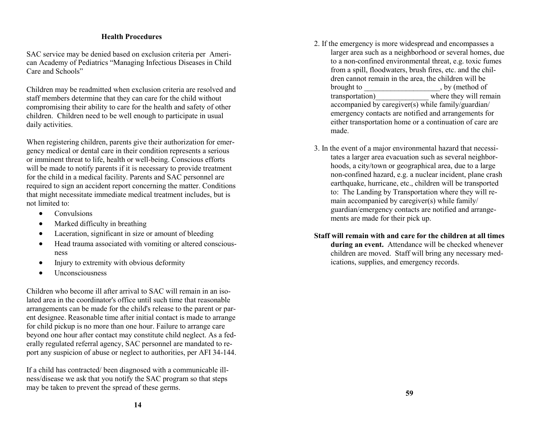#### **Health Procedures**

SAC service may be denied based on exclusion criteria per American Academy of Pediatrics "Managing Infectious Diseases in Child Care and Schools"

Children may be readmitted when exclusion criteria are resolved and staff members determine that they can care for the child without compromising their ability to care for the health and safety of other children. Children need to be well enough to participate in usual daily activities.

When registering children, parents give their authorization for emergency medical or dental care in their condition represents a serious or imminent threat to life, health or well-being. Conscious efforts will be made to notify parents if it is necessary to provide treatment for the child in a medical facility. Parents and SAC personnel are required to sign an accident report concerning the matter. Conditions that might necessitate immediate medical treatment includes, but is not limited to:

- Convulsions
- Marked difficulty in breathing
- Laceration, significant in size or amount of bleeding
- Head trauma associated with vomiting or altered consciousness
- Injury to extremity with obvious deformity
- Unconsciousness

Children who become ill after arrival to SAC will remain in an isolated area in the coordinator's office until such time that reasonable arrangements can be made for the child's release to the parent or parent designee. Reasonable time after initial contact is made to arrange for child pickup is no more than one hour. Failure to arrange care beyond one hour after contact may constitute child neglect. As a federally regulated referral agency, SAC personnel are mandated to report any suspicion of abuse or neglect to authorities, per AFI 34-144.

If a child has contracted/ been diagnosed with a communicable illness/disease we ask that you notify the SAC program so that steps may be taken to prevent the spread of these germs.

- 2. If the emergency is more widespread and encompasses a larger area such as a neighborhood or several homes, due to a non-confined environmental threat, e.g. toxic fumes from a spill, floodwaters, brush fires, etc. and the children cannot remain in the area, the children will be brought to brought to by (method of transportation) where they will remain accompanied by caregiver(s) while family/guardian/ emergency contacts are notified and arrangements for either transportation home or a continuation of care are made.
- 3. In the event of a major environmental hazard that necessitates a larger area evacuation such as several neighborhoods, a city/town or geographical area, due to a large non-confined hazard, e.g. a nuclear incident, plane crash earthquake, hurricane, etc., children will be transported to: The Landing by Transportation where they will remain accompanied by caregiver(s) while family/ guardian/emergency contacts are notified and arrangements are made for their pick up.
- **Staff will remain with and care for the children at all times during an event.** Attendance will be checked whenever children are moved. Staff will bring any necessary medications, supplies, and emergency records.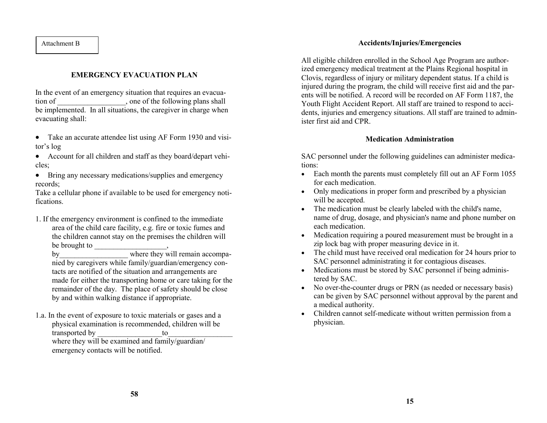#### **EMERGENCY EVACUATION PLAN**

In the event of an emergency situation that requires an evacuation of solution of the following plans shall be implemented. In all situations, the caregiver in charge when evacuating shall:

- Take an accurate attendee list using AF Form 1930 and visitor's log
- Account for all children and staff as they board/depart vehicles;
- Bring any necessary medications/supplies and emergency records;

Take a cellular phone if available to be used for emergency notifications.

1. If the emergency environment is confined to the immediate area of the child care facility, e.g. fire or toxic fumes and the children cannot stay on the premises the children will be brought to \_\_\_\_\_\_\_\_\_\_\_\_\_\_\_\_\_\_\_,

by where they will remain accompanied by caregivers while family/guardian/emergency contacts are notified of the situation and arrangements are made for either the transporting home or care taking for the remainder of the day. The place of safety should be close by and within walking distance if appropriate.

1.a. In the event of exposure to toxic materials or gases and a physical examination is recommended, children will be transported by to the towhere they will be examined and family/guardian/

emergency contacts will be notified.

#### Attachment B **Accidents/Injuries/Emergencies**

All eligible children enrolled in the School Age Program are authorized emergency medical treatment at the Plains Regional hospital in Clovis, regardless of injury or military dependent status. If a child is injured during the program, the child will receive first aid and the parents will be notified. A record will be recorded on AF Form 1187, the Youth Flight Accident Report. All staff are trained to respond to accidents, injuries and emergency situations. All staff are trained to administer first aid and CPR.

#### **Medication Administration**

SAC personnel under the following guidelines can administer medications:

- Each month the parents must completely fill out an AF Form 1055 for each medication.
- Only medications in proper form and prescribed by a physician will be accepted.
- The medication must be clearly labeled with the child's name, name of drug, dosage, and physician's name and phone number on each medication.
- Medication requiring a poured measurement must be brought in a zip lock bag with proper measuring device in it.
- The child must have received oral medication for 24 hours prior to SAC personnel administrating it for contagious diseases.
- Medications must be stored by SAC personnel if being administered by SAC.
- No over-the-counter drugs or PRN (as needed or necessary basis) can be given by SAC personnel without approval by the parent and a medical authority.
- Children cannot self-medicate without written permission from a physician.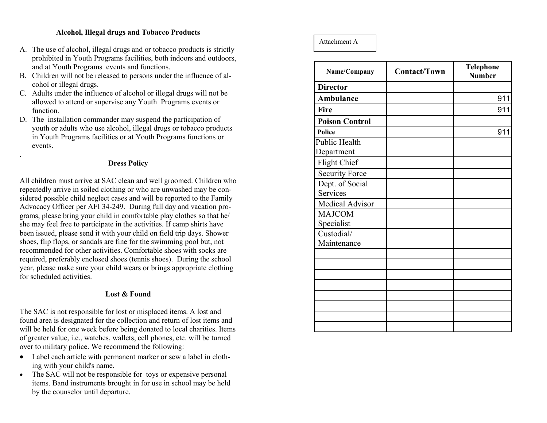#### **Alcohol, Illegal drugs and Tobacco Products**

- A. The use of alcohol, illegal drugs and or tobacco products is strictly prohibited in Youth Programs facilities, both indoors and outdoors, and at Youth Programs events and functions.
- B. Children will not be released to persons under the influence of alcohol or illegal drugs.
- C. Adults under the influence of alcohol or illegal drugs will not be allowed to attend or supervise any Youth Programs events or function.
- D. The installation commander may suspend the participation of youth or adults who use alcohol, illegal drugs or tobacco products in Youth Programs facilities or at Youth Programs functions or events.

#### **Dress Policy**

.

All children must arrive at SAC clean and well groomed. Children who repeatedly arrive in soiled clothing or who are unwashed may be considered possible child neglect cases and will be reported to the Family Advocacy Officer per AFI 34 -249. During full day and vacation programs, please bring your child in comfortable play clothes so that he/ she may feel free to participate in the activities. If camp shirts have been issued, please send it with your child on field trip days. Shower shoes, flip flops, or sandals are fine for the swimming pool but, not recommended for other activities. Comfortable shoes with socks are required, preferably enclosed shoes (tennis shoes). During the school year, please make sure your child wears or brings appropriate clothing for scheduled activities.

#### **Lost & Found**

The SAC is not responsible for lost or misplaced items. A lost and found area is designated for the collection and return of lost items and will be held for one week before being donated to local charities. Items of greater value, i.e., watches, wallets, cell phones, etc. will be turned over to military police. We recommend the following:

- Label each article with permanent marker or sew a label in clothing with your child's name.
- The SAC will not be responsible for toys or expensive personal items. Band instruments brought in for use in school may be held by the counselor until departure.

Attachment A

| Name/Company          | <b>Contact/Town</b> | <b>Telephone</b><br><b>Number</b> |
|-----------------------|---------------------|-----------------------------------|
| <b>Director</b>       |                     |                                   |
| <b>Ambulance</b>      |                     | 911                               |
| Fire                  |                     | 911                               |
| <b>Poison Control</b> |                     |                                   |
| Police                |                     | 911                               |
| <b>Public Health</b>  |                     |                                   |
| Department            |                     |                                   |
| <b>Flight Chief</b>   |                     |                                   |
| <b>Security Force</b> |                     |                                   |
| Dept. of Social       |                     |                                   |
| Services              |                     |                                   |
| Medical Advisor       |                     |                                   |
| <b>MAJCOM</b>         |                     |                                   |
| Specialist            |                     |                                   |
| Custodial/            |                     |                                   |
| Maintenance           |                     |                                   |
|                       |                     |                                   |
|                       |                     |                                   |
|                       |                     |                                   |
|                       |                     |                                   |
|                       |                     |                                   |
|                       |                     |                                   |
|                       |                     |                                   |
|                       |                     |                                   |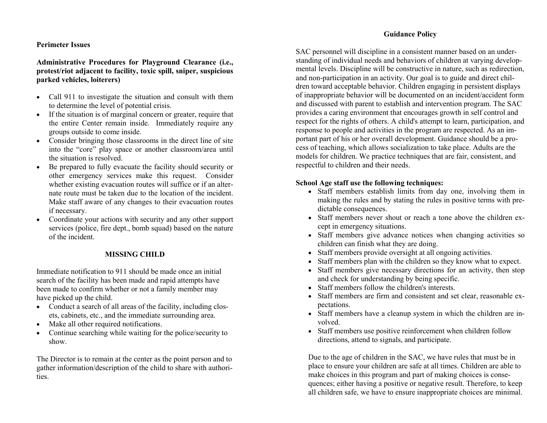#### **Perimeter Issues**

#### **Administrative Procedures for Playground Clearance (i.e., protest/riot adjacent to facility, toxic spill, sniper, suspicious parked vehicles, loiterers)**

- Call 911 to investigate the situation and consult with them to determine the level of potential crisis.
- If the situation is of marginal concern or greater, require that the entire Center remain inside. Immediately require any groups outside to come inside.
- Consider bringing those classrooms in the direct line of site into the "core" play space or another classroom/area until the situation is resolved.
- Be prepared to fully evacuate the facility should security or other emergency services make this request. Consider whether existing evacuation routes will suffice or if an alternate route must be taken due to the location of the incident. Make staff aware of any changes to their evacuation routes if necessary.
- Coordinate your actions with security and any other support services (police, fire dept., bomb squad) based on the nature of the incident.

#### **MISSING CHILD**

Immediate notification to 911 should be made once an initial search of the facility has been made and rapid attempts have been made to confirm whether or not a family member may have picked up the child.

- Conduct a search of all areas of the facility, including closets, cabinets, etc., and the immediate surrounding area.
- Make all other required notifications.
- Continue searching while waiting for the police/security to show.

The Director is to remain at the center as the point person and to gather information/description of the child to share with authorities.

#### **Guidance Policy**

SAC personnel will discipline in a consistent manner based on an understanding of individual needs and behaviors of children at varying developmental levels. Discipline will be constructive in nature, such as redirection, and non-participation in an activity. Our goal is to guide and direct children toward acceptable behavior. Children engaging in persistent displays of inappropriate behavior will be documented on an incident/accident form and discussed with parent to establish and intervention program. The SAC provides a caring environment that encourages growth in self control and respect for the rights of others. A child's attempt to learn, participation, and response to people and activities in the program are respected. As an important part of his or her overall development. Guidance should be a process of teaching, which allows socialization to take place. Adults are the models for children. We practice techniques that are fair, consistent, and respectful to children and their needs.

#### **School Age staff use the following techniques:**

- Staff members establish limits from day one, involving them in making the rules and by stating the rules in positive terms with predictable consequences.
- Staff members never shout or reach a tone above the children except in emergency situations.
- Staff members give advance notices when changing activities so children can finish what they are doing.
- Staff members provide oversight at all ongoing activities.
- Staff members plan with the children so they know what to expect.
- Staff members give necessary directions for an activity, then stop and check for understanding by being specific.
- Staff members follow the children's interests.
- Staff members are firm and consistent and set clear, reasonable expectations.
- Staff members have a cleanup system in which the children are involved.
- Staff members use positive reinforcement when children follow directions, attend to signals, and participate.

Due to the age of children in the SAC, we have rules that must be in place to ensure your children are safe at all times. Children are able to make choices in this program and part of making choices is consequences; either having a positive or negative result. Therefore, to keep all children safe, we have to ensure inappropriate choices are minimal.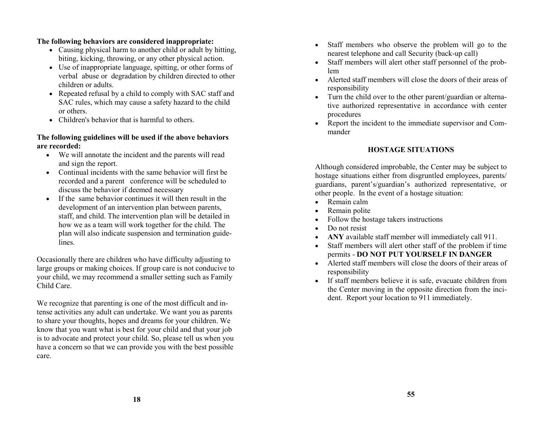#### **The following behaviors are considered inappropriate:**

- Causing physical harm to another child or adult by hitting, biting, kicking, throwing, or any other physical action.
- Use of inappropriate language, spitting, or other forms of verbal abuse or degradation by children directed to other children or adults.
- Repeated refusal by a child to comply with SAC staff and SAC rules, which may cause a safety hazard to the child or others.
- Children's behavior that is harmful to others.

#### **The following guidelines will be used if the above behaviors are recorded:**

- We will annotate the incident and the parents will read and sign the report.
- Continual incidents with the same behavior will first be recorded and a parent conference will be scheduled to discuss the behavior if deemed necessary
- If the same behavior continues it will then result in the development of an intervention plan between parents, staff, and child. The intervention plan will be detailed in how we as a team will work together for the child. The plan will also indicate suspension and termination guidelines.

Occasionally there are children who have difficulty adjusting to large groups or making choices. If group care is not conducive to your child, we may recommend a smaller setting such as Family Child Care.

We recognize that parenting is one of the most difficult and intense activities any adult can undertake. We want you as parents to share your thoughts, hopes and dreams for your children. We know that you want what is best for your child and that your job is to advocate and protect your child. So, please tell us when you have a concern so that we can provide you with the best possible care.

- Staff members who observe the problem will go to the nearest telephone and call Security (back-up call)
- Staff members will alert other staff personnel of the problem
- Alerted staff members will close the doors of their areas of responsibility
- Turn the child over to the other parent/guardian or alternative authorized representative in accordance with center procedures
- Report the incident to the immediate supervisor and Commander

#### **HOSTAGE SITUATIONS**

Although considered improbable, the Center may be subject to hostage situations either from disgruntled employees, parents/ guardians, parent's/guardian's authorized representative, or other people. In the event of a hostage situation:

- Remain calm
- Remain polite
- Follow the hostage takers instructions
- Do not resist
- **ANY** available staff member will immediately call 911.
- Staff members will alert other staff of the problem if time permits - **DO NOT PUT YOURSELF IN DANGER**
- Alerted staff members will close the doors of their areas of responsibility
- If staff members believe it is safe, evacuate children from the Center moving in the opposite direction from the incident. Report your location to 911 immediately.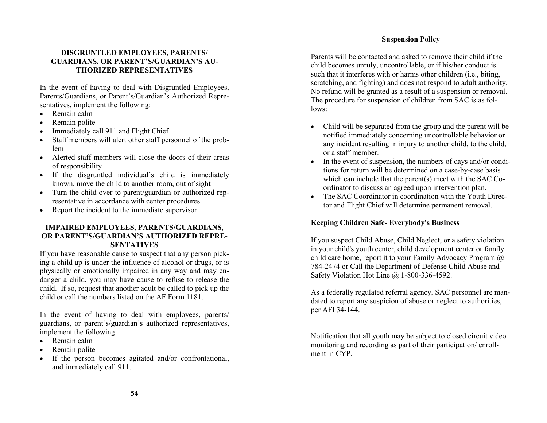#### **DISGRUNTLED EMPLOYEES, PARENTS/ GUARDIANS, OR PARENT'S/GUARDIAN'S AU-THORIZED REPRESENTATIVES**

In the event of having to deal with Disgruntled Employees, Parents/Guardians, or Parent's/Guardian's Authorized Representatives, implement the following:

- Remain calm
- Remain polite
- Immediately call 911 and Flight Chief
- Staff members will alert other staff personnel of the problem
- Alerted staff members will close the doors of their areas of responsibility
- If the disgruntled individual's child is immediately known, move the child to another room, out of sight
- Turn the child over to parent/guardian or authorized representative in accordance with center procedures
- Report the incident to the immediate supervisor

#### **IMPAIRED EMPLOYEES, PARENTS/GUARDIANS, OR PARENT'S/GUARDIAN'S AUTHORIZED REPRE-SENTATIVES**

If you have reasonable cause to suspect that any person picking a child up is under the influence of alcohol or drugs, or is physically or emotionally impaired in any way and may endanger a child, you may have cause to refuse to release the child. If so, request that another adult be called to pick up the child or call the numbers listed on the AF Form 1181.

In the event of having to deal with employees, parents/ guardians, or parent's/guardian's authorized representatives, implement the following

- Remain calm
- Remain polite
- If the person becomes agitated and/or confrontational, and immediately call 911.

#### **Suspension Policy**

Parents will be contacted and asked to remove their child if the child becomes unruly, uncontrollable, or if his/her conduct is such that it interferes with or harms other children (i.e., biting, scratching, and fighting) and does not respond to adult authority. No refund will be granted as a result of a suspension or removal. The procedure for suspension of children from SAC is as follows:

- Child will be separated from the group and the parent will be notified immediately concerning uncontrollable behavior or any incident resulting in injury to another child, to the child, or a staff member.
- In the event of suspension, the numbers of days and/or conditions for return will be determined on a case-by-case basis which can include that the parent(s) meet with the SAC Coordinator to discuss an agreed upon intervention plan.
- The SAC Coordinator in coordination with the Youth Director and Flight Chief will determine permanent removal.

#### **Keeping Children Safe- Everybody's Business**

If you suspect Child Abuse, Child Neglect, or a safety violation in your child's youth center, child development center or family child care home, report it to your Family Advocacy Program @ 784-2474 or Call the Department of Defense Child Abuse and Safety Violation Hot Line @ 1-800-336-4592.

As a federally regulated referral agency, SAC personnel are mandated to report any suspicion of abuse or neglect to authorities, per AFI 34-144.

Notification that all youth may be subject to closed circuit video monitoring and recording as part of their participation/ enrollment in CYP.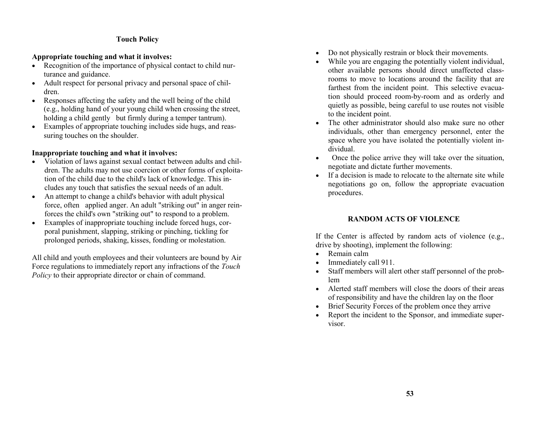#### **Touch Policy**

#### **Appropriate touching and what it involves:**

- Recognition of the importance of physical contact to child nurturance and guidance.
- Adult respect for personal privacy and personal space of children.
- Responses affecting the safety and the well being of the child (e.g., holding hand of your young child when crossing the street, holding a child gently but firmly during a temper tantrum).
- Examples of appropriate touching includes side hugs, and reassuring touches on the shoulder.

#### **Inappropriate touching and what it involves:**

- Violation of laws against sexual contact between adults and children. The adults may not use coercion or other forms of exploitation of the child due to the child's lack of knowledge. This includes any touch that satisfies the sexual needs of an adult.
- An attempt to change a child's behavior with adult physical force, often applied anger. An adult "striking out" in anger reinforces the child's own "striking out" to respond to a problem.
- Examples of inappropriate touching include forced hugs, corporal punishment, slapping, striking or pinching, tickling for prolonged periods, shaking, kisses, fondling or molestation.

All child and youth employees and their volunteers are bound by Air Force regulations to immediately report any infractions of the *Touch Policy* to their appropriate director or chain of command.

- Do not physically restrain or block their movements.
- While you are engaging the potentially violent individual, other available persons should direct unaffected classrooms to move to locations around the facility that are farthest from the incident point. This selective evacuation should proceed room-by-room and as orderly and quietly as possible, being careful to use routes not visible to the incident point.
- The other administrator should also make sure no other individuals, other than emergency personnel, enter the space where you have isolated the potentially violent individual.
- Once the police arrive they will take over the situation, negotiate and dictate further movements.
- If a decision is made to relocate to the alternate site while negotiations go on, follow the appropriate evacuation procedures.

#### **RANDOM ACTS OF VIOLENCE**

If the Center is affected by random acts of violence (e.g., drive by shooting), implement the following:

- Remain calm
- Immediately call 911.
- Staff members will alert other staff personnel of the problem
- Alerted staff members will close the doors of their areas of responsibility and have the children lay on the floor
- Brief Security Forces of the problem once they arrive
- Report the incident to the Sponsor, and immediate supervisor.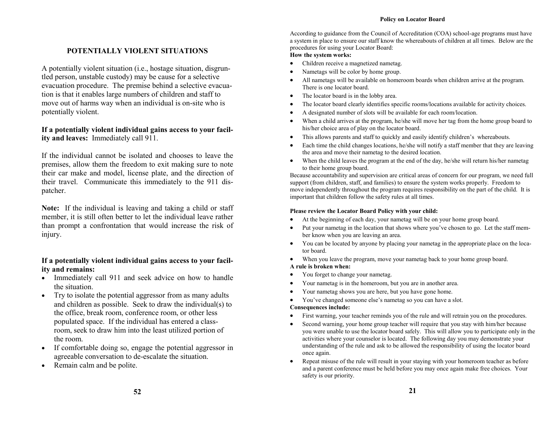#### **Policy on Locator Board**

#### **POTENTIALLY VIOLENT SITUATIONS**

A potentially violent situation (i.e., hostage situation, disgruntled person, unstable custody) may be cause for a selective evacuation procedure. The premise behind a selective evacuation is that it enables large numbers of children and staff to move out of harms way when an individual is on-site who is potentially violent.

#### **If a potentially violent individual gains access to your facility and leaves:** Immediately call 911.

If the individual cannot be isolated and chooses to leave the premises, allow them the freedom to exit making sure to note their car make and model, license plate, and the direction of their travel. Communicate this immediately to the 911 dispatcher.

**Note:** If the individual is leaving and taking a child or staff member, it is still often better to let the individual leave rather than prompt a confrontation that would increase the risk of injury.

#### **If a potentially violent individual gains access to your facility and remains:**

- Immediately call 911 and seek advice on how to handle the situation.
- Try to isolate the potential aggressor from as many adults and children as possible. Seek to draw the individual(s) to the office, break room, conference room, or other less populated space. If the individual has entered a classroom, seek to draw him into the least utilized portion of the room.
- If comfortable doing so, engage the potential aggressor in agreeable conversation to de-escalate the situation.
- Remain calm and be polite.

According to guidance from the Council of Accreditation (COA) school-age programs must have a system in place to ensure our staff know the whereabouts of children at all times. Below are the procedures for using your Locator Board:

#### **How the system works:**

- Children receive a magnetized nametag.
- Nametags will be color by home group.
- All nametags will be available on homeroom boards when children arrive at the program. There is one locator board.
- The locator board is in the lobby area.
- The locator board clearly identifies specific rooms/locations available for activity choices.
- A designated number of slots will be available for each room/location.
- When a child arrives at the program, he/she will move her tag from the home group board to his/her choice area of play on the locator board.
- This allows parents and staff to quickly and easily identify children's whereabouts.
- Each time the child changes locations, he/she will notify a staff member that they are leaving the area and move their nametag to the desired location.
- When the child leaves the program at the end of the day, he/she will return his/her nametag to their home group board.

Because accountability and supervision are critical areas of concern for our program, we need full support (from children, staff, and families) to ensure the system works properly. Freedom to move independently throughout the program requires responsibility on the part of the child. It is important that children follow the safety rules at all times.

#### **Please review the Locator Board Policy with your child:**

- At the beginning of each day, your nametag will be on your home group board.
- Put your nametag in the location that shows where you've chosen to go. Let the staff member know when you are leaving an area.
- You can be located by anyone by placing your nametag in the appropriate place on the locator board.
- When you leave the program, move your nametag back to your home group board.

#### **A rule is broken when:**

- You forget to change your nametag.
- Your nametag is in the homeroom, but you are in another area.
- Your nametag shows you are here, but you have gone home.
- You've changed someone else's nametag so you can have a slot.

#### **Consequences include:**

- First warning, your teacher reminds you of the rule and will retrain you on the procedures.
- Second warning, your home group teacher will require that you stay with him/her because you were unable to use the locator board safely. This will allow you to participate only in the activities where your counselor is located. The following day you may demonstrate your understanding of the rule and ask to be allowed the responsibility of using the locator board once again.
- Repeat misuse of the rule will result in your staying with your homeroom teacher as before and a parent conference must be held before you may once again make free choices. Your safety is our priority.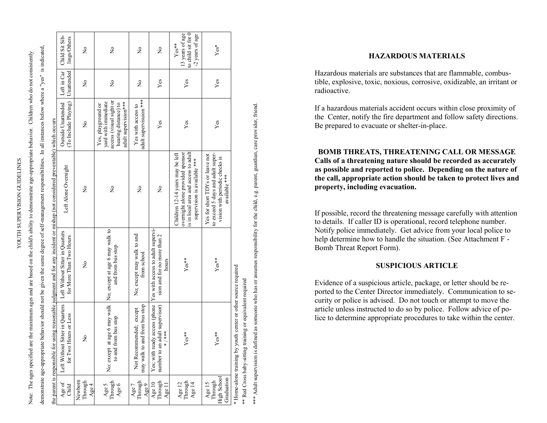| ŋ<br>f<br>I<br>ĭ<br>j                         |  |
|-----------------------------------------------|--|
|                                               |  |
| חד דרר ד גרמדר הו<br>$\overline{\phantom{a}}$ |  |
| $25 - 7 - 7$                                  |  |
|                                               |  |

 $\boldsymbol{\Omega}$ 

Note: The ages specified are the maximum ages and are based on the child's ability to demonstrate age-appropriate behavior. Children who do not consistently Note: The ages specified are the maximum ages and are based on the child's ability to demonstrate age-appropriate behavior. Children who do not consistently

demonstrate age-appropriate behavior should not be given the same degree of self-management responsibilities. In all instances below where a "yes" is indicated, demonstrate age-appropriate behavior should not be given the same degree of self-management responsibilities. In all instances below where a "yes" is indicated,

|                                                                                                                                  | Child Sit Sib-<br>lings/Others                                                                  | $\frac{1}{2}$              | $\mathsf{S}^{\mathsf{O}}$                                                                                            | $\mathsf{S}^{\mathsf{O}}$                                | ž                                                                                           | to child sit for 0<br>13 years of age<br>-2 years of age<br>$Yes**$                                                                          | Yes*                                                                                                                    |                                                                |
|----------------------------------------------------------------------------------------------------------------------------------|-------------------------------------------------------------------------------------------------|----------------------------|----------------------------------------------------------------------------------------------------------------------|----------------------------------------------------------|---------------------------------------------------------------------------------------------|----------------------------------------------------------------------------------------------------------------------------------------------|-------------------------------------------------------------------------------------------------------------------------|----------------------------------------------------------------|
|                                                                                                                                  | Left in Car<br>Unattended                                                                       | ž                          | $\tilde{z}$                                                                                                          | $\tilde{z}$                                              | Yes                                                                                         | Yes                                                                                                                                          | Yes                                                                                                                     |                                                                |
|                                                                                                                                  | To Include Playing)<br>Outside Unattended                                                       | ż                          | access (visual sight or<br>yard with immediate<br>adult supervision***<br>hearing distance) to<br>Yes, playground or | adult supervisuion ***<br>Yes with access to             | Yes                                                                                         | Yes                                                                                                                                          | Yes                                                                                                                     |                                                                |
| the parent is responsible for using reasonable judgment and for any incident or mishap (not considered preventable) which occurs | Left Alone Overnight                                                                            | $\tilde{z}$                | $\tilde{\mathsf{z}}$                                                                                                 | ż                                                        | ž                                                                                           | overnight alone provided sponsor<br>is in local area and access to adult<br>Children 12-14 years may be left<br>supervision is available *** | to exceed 5 days and adult super-<br>Yes for short TDYs or leave not<br>vision with periodic checks is<br>available *** |                                                                |
|                                                                                                                                  | for More Than Two Hours                                                                         | $\tilde{z}$                | No: except at age 6 may walk  No; except at age 6 may walk to<br>and from bus stop                                   | No; except may walk to and<br>from school                | ly access (phone  Yes with access to adult supervi-<br>sion and for no more than 2<br>hours | $Yes**$                                                                                                                                      | $Yes**$                                                                                                                 |                                                                |
|                                                                                                                                  | Left Without Sitter in Quarters   Left Without Sitter in Quarters<br>lours or Less<br>for Two E | $\frac{1}{2}$              | to and from bus stop                                                                                                 | may walk to and from bus stop<br>Not Recommended; except | number to an adult supervisor)<br>$* * * *$<br>Yes; with read<br>×                          | $Yes**$                                                                                                                                      | $Yes**$                                                                                                                 | * Home-alone training by youth center or other source required |
|                                                                                                                                  | Age of<br>Child                                                                                 | Newborn<br>Through<br>Age4 | Age 5<br>Through<br>Age 6                                                                                            | Through<br>Age 9<br>Age 7                                | Through<br>Age 10<br>Age $11$                                                               | Age 12<br>Through<br>Age 14                                                                                                                  | High School<br>Graduation<br>Through<br>Age 15                                                                          |                                                                |

\*\* Red Cross baby-sitting training or equivalent required

guardian, care provider, friend. \*\*\* Adult supervision is defined as someone who has or assumes responsibility for the child, e.g. parent, guardian, care provider, friend. \*\*\* Adult supervision is defined as someone who has or assumes responsibility for the child, e.g. parent, \*\* Red Cross baby-sitting training or equivalent required

#### **HAZARDOUS MATERIALS**

Hazardous materials are substances that are flammable, combustible, explosive, toxic, noxious, corrosive, oxidizable, an irritant or radioactive.

If a hazardous materials accident occurs within close proximity of the Center, notify the fire department and follow safety directions. Be prepared to evacuate or shelter -in -place.

**BOMB THREATS, THREATENING CALL OR MESSAGE Calls of a threatening nature should be recorded as accurately as possible and reported to police. Depending on the nature of the call, appropriate action should be taken to protect lives and property, including evacuation.**

If possible, record the threatening message carefully with attention to details. If caller ID is operational, record telephone number. Notify police immediately. Get advice from your local police to help determine how to handle the situation. (See Attachment F -Bomb Threat Report Form).

#### **SUSPICIOUS ARTICLE**

Evidence of a suspicious article, package, or letter should be reported to the Center Director immediately. Communication to security or police is advised. Do not touch or attempt to move the article unless instructed to do so by police. Follow advice of police to determine appropriate procedures to take within the center.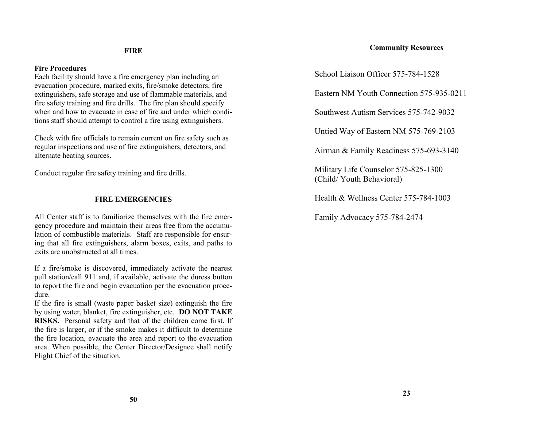#### **FIRE**

#### **Fire Procedures**

Each facility should have a fire emergency plan including an evacuation procedure, marked exits, fire/smoke detectors, fire extinguishers, safe storage and use of flammable materials, and fire safety training and fire drills. The fire plan should specify when and how to evacuate in case of fire and under which conditions staff should attempt to control a fire using extinguishers.

Check with fire officials to remain current on fire safety such as regular inspections and use of fire extinguishers, detectors, and alternate heating sources.

Conduct regular fire safety training and fire drills.

#### **FIRE EMERGENCIES**

All Center staff is to familiarize themselves with the fire emergency procedure and maintain their areas free from the accumulation of combustible materials. Staff are responsible for ensuring that all fire extinguishers, alarm boxes, exits, and paths to exits are unobstructed at all times.

If a fire/smoke is discovered, immediately activate the nearest pull station/call 911 and, if available, activate the duress button to report the fire and begin evacuation per the evacuation procedure.

If the fire is small (waste paper basket size) extinguish the fire by using water, blanket, fire extinguisher, etc. **DO NOT TAKE RISKS.** Personal safety and that of the children come first. If the fire is larger, or if the smoke makes it difficult to determine the fire location, evacuate the area and report to the evacuation area. When possible, the Center Director/Designee shall notify Flight Chief of the situation.

#### **Community Resources**

School Liaison Officer 575-784-1528

Eastern NM Youth Connection 575-935-0211

Southwest Autism Services 575-742-9032

Untied Way of Eastern NM 575-769-2103

Airman & Family Readiness 575-693-3140

Military Life Counselor 575-825-1300 (Child/ Youth Behavioral)

Health & Wellness Center 575-784-1003

Family Advocacy 575-784-2474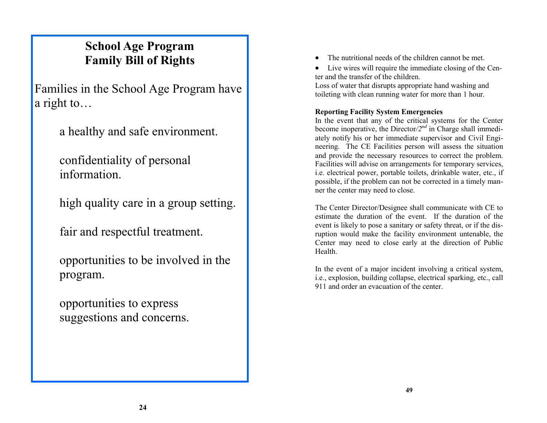# **School Age Program Family Bill of Rights**

Families in the School Age Program have a right to…

a healthy and safe environment.

confidentiality of personal information.

high quality care in a group setting.

fair and respectful treatment.

opportunities to be involved in the program.

opportunities to express suggestions and concerns.

- The nutritional needs of the children cannot be met.
- Live wires will require the immediate closing of the Center and the transfer of the children.

Loss of water that disrupts appropriate hand washing and toileting with clean running water for more than 1 hour.

#### **Reporting Facility System Emergencies**

In the event that any of the critical systems for the Center become inoperative, the Director*/2nd* in Charge shall immediately notify his or her immediate supervisor and Civil Engineering. The CE Facilities person will assess the situation and provide the necessary resources to correct the problem. Facilities will advise on arrangements for temporary services, i.e. electrical power, portable toilets, drinkable water, etc., if possible, if the problem can not be corrected in a timely manner the center may need to close.

The Center Director/Designee shall communicate with CE to estimate the duration of the event. If the duration of the event is likely to pose a sanitary or safety threat, or if the disruption would make the facility environment untenable, the Center may need to close early at the direction of Public Health.

In the event of a major incident involving a critical system, i.e., explosion, building collapse, electrical sparking, etc., call 911 and order an evacuation of the center.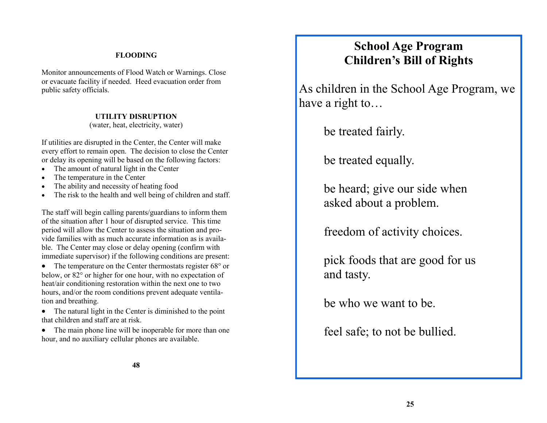### **FLOODING**

Monitor announcements of Flood Watch or Warnings. Close or evacuate facility if needed. Heed evacuation order from public safety officials.

## **UTILITY DISRUPTION**

(water, heat, electricity, water)

If utilities are disrupted in the Center, the Center will make every effort to remain open. The decision to close the Center or delay its opening will be based on the following factors:

- The amount of natural light in the Center
- The temperature in the Center
- The ability and necessity of heating food
- The risk to the health and well being of children and staff.

The staff will begin calling parents/guardians to inform them of the situation after 1 hour of disrupted service. This time period will allow the Center to assess the situation and provide families with as much accurate information as is available. The Center may close or delay opening (confirm with immediate supervisor) if the following conditions are present:

• The temperature on the Center thermostats register 68° or below, or 82° or higher for one hour, with no expectation of heat/air conditioning restoration within the next one to two hours, and/or the room conditions prevent adequate ventilation and breathing.

• The natural light in the Center is diminished to the point that children and staff are at risk.

• The main phone line will be inoperable for more than one hour, and no auxiliary cellular phones are available.

# **School Age Program Children's Bill of Rights**

As children in the School Age Program, we have a right to…

be treated fairly.

be treated equally.

be heard; give our side when asked about a problem.

freedom of activity choices.

pick foods that are good for us and tasty.

be who we want to be.

feel safe; to not be bullied.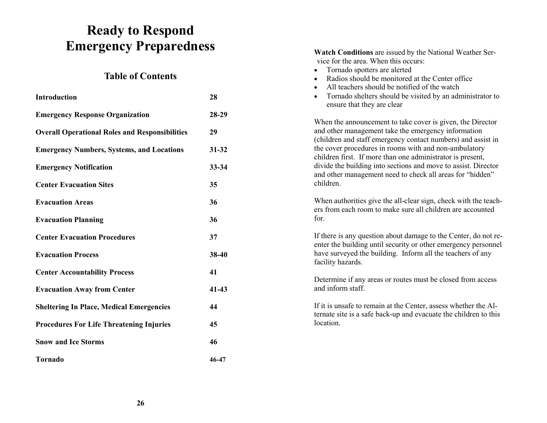# **Ready to Respond Emergency Preparedness**

## **Table of Contents**

| <b>Introduction</b>                                   | 28        |
|-------------------------------------------------------|-----------|
| <b>Emergency Response Organization</b>                | 28-29     |
| <b>Overall Operational Roles and Responsibilities</b> | 29        |
| <b>Emergency Numbers, Systems, and Locations</b>      | $31 - 32$ |
| <b>Emergency Notification</b>                         | 33-34     |
| <b>Center Evacuation Sites</b>                        | 35        |
| <b>Evacuation Areas</b>                               | 36        |
| <b>Evacuation Planning</b>                            | 36        |
| <b>Center Evacuation Procedures</b>                   | 37        |
| <b>Evacuation Process</b>                             | 38-40     |
| <b>Center Accountability Process</b>                  | 41        |
| <b>Evacuation Away from Center</b>                    | $41 - 43$ |
| <b>Sheltering In Place, Medical Emergencies</b>       | 44        |
| <b>Procedures For Life Threatening Injuries</b>       | 45        |
| <b>Snow and Ice Storms</b>                            | 46        |
| <b>Tornado</b>                                        | 46-47     |
|                                                       |           |

**Watch Conditions** are issued by the National Weather Service for the area. When this occurs: Tornado spotters are alerted Radios should be monitored at the Center office All teachers should be notified of the watch • Tornado shelters should be visited by an administrator to ensure that they are clear When the announcement to take cover is given, the Director and other management take the emergency information (children and staff emergency contact numbers) and assist in the cover procedures in rooms with and non-ambulatory children first. If more than one administrator is present, divide the building into sections and move to assist. Director and other management need to check all areas for "hidden" children. When authorities give the all-clear sign, check with the teachers from each room to make sure all children are accounted for. If there is any question about damage to the Center, do not reenter the building until security or other emergency personnel have surveyed the building. Inform all the teachers of any facility hazards. Determine if any areas or routes must be closed from access and inform staff. If it is unsafe to remain at the Center, assess whether the Alternate site is a safe back-up and evacuate the children to this location.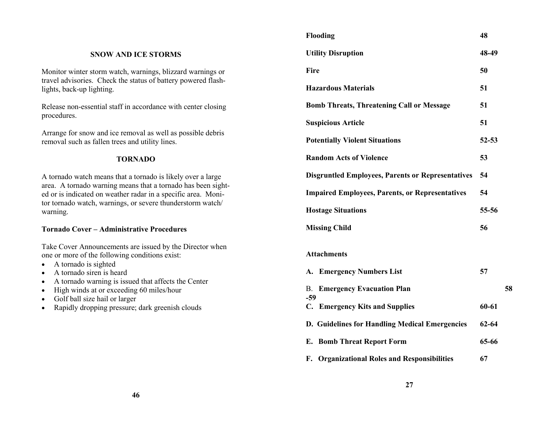|                                                                                                                                                            | Flooding                                                 | 48        |    |
|------------------------------------------------------------------------------------------------------------------------------------------------------------|----------------------------------------------------------|-----------|----|
| <b>SNOW AND ICE STORMS</b>                                                                                                                                 | <b>Utility Disruption</b>                                | 48-49     |    |
| Monitor winter storm watch, warnings, blizzard warnings or                                                                                                 | Fire                                                     | 50        |    |
| travel advisories. Check the status of battery powered flash-<br>lights, back-up lighting.                                                                 | <b>Hazardous Materials</b>                               | 51        |    |
| Release non-essential staff in accordance with center closing                                                                                              | <b>Bomb Threats, Threatening Call or Message</b>         | 51        |    |
| procedures.                                                                                                                                                | <b>Suspicious Article</b>                                | 51        |    |
| Arrange for snow and ice removal as well as possible debris<br>removal such as fallen trees and utility lines.                                             | <b>Potentially Violent Situations</b>                    | $52 - 53$ |    |
| <b>TORNADO</b>                                                                                                                                             | <b>Random Acts of Violence</b>                           | 53        |    |
| A tornado watch means that a tornado is likely over a large                                                                                                | <b>Disgruntled Employees, Parents or Representatives</b> | 54        |    |
| area. A tornado warning means that a tornado has been sight-<br>ed or is indicated on weather radar in a specific area. Moni-                              | <b>Impaired Employees, Parents, or Representatives</b>   | 54        |    |
| tor tornado watch, warnings, or severe thunderstorm watch/<br>warning.                                                                                     | <b>Hostage Situations</b>                                | 55-56     |    |
| <b>Tornado Cover - Administrative Procedures</b>                                                                                                           | <b>Missing Child</b>                                     | 56        |    |
| Take Cover Announcements are issued by the Director when<br>one or more of the following conditions exist:<br>A tornado is sighted<br>$\bullet$            | <b>Attachments</b>                                       |           |    |
| A tornado siren is heard<br>$\bullet$                                                                                                                      | A. Emergency Numbers List                                | 57        |    |
| A tornado warning is issued that affects the Center<br>High winds at or exceeding 60 miles/hour<br>$\bullet$<br>Golf ball size hail or larger<br>$\bullet$ | <b>B. Emergency Evacuation Plan</b><br>$-59$             |           | 58 |
| Rapidly dropping pressure; dark greenish clouds<br>$\bullet$                                                                                               | C. Emergency Kits and Supplies                           | 60-61     |    |
|                                                                                                                                                            | D. Guidelines for Handling Medical Emergencies           | $62 - 64$ |    |
|                                                                                                                                                            | <b>E.</b> Bomb Threat Report Form                        | 65-66     |    |
|                                                                                                                                                            | F. Organizational Roles and Responsibilities             | 67        |    |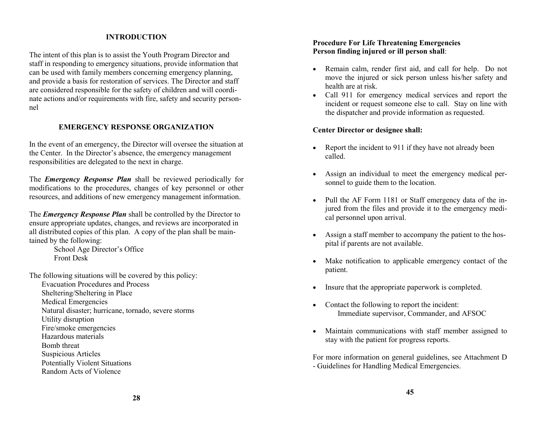#### **INTRODUCTION**

The intent of this plan is to assist the Youth Program Director and staff in responding to emergency situations, provide information that can be used with family members concerning emergency planning, and provide a basis for restoration of services. The Director and staff are considered responsible for the safety of children and will coordinate actions and/or requirements with fire, safety and security personnel

#### **EMERGENCY RESPONSE ORGANIZATION**

In the event of an emergency, the Director will oversee the situation at the Center. In the Director's absence, the emergency management responsibilities are delegated to the next in charge.

The *Emergency Response Plan* shall be reviewed periodically for modifications to the procedures, changes of key personnel or other resources, and additions of new emergency management information.

The *Emergency Response Plan* shall be controlled by the Director to ensure appropriate updates, changes, and reviews are incorporated in all distributed copies of this plan. A copy of the plan shall be maintained by the following:

> School Age Director's Office Front Desk

The following situations will be covered by this policy:

- Evacuation Procedures and Process
- Sheltering/Sheltering in Place
- Medical Emergencies
- Natural disaster; hurricane, tornado, severe storms
- Utility disruption
- Fire/smoke emergencies
- Hazardous materials
- Bomb threat
- 
- Suspicious Articles
- Potentially Violent Situations
- Random Acts of Violence

#### **Procedure For Life Threatening Emergencies Person finding injured or ill person shall**:

- Remain calm, render first aid, and call for help. Do not move the injured or sick person unless his/her safety and health are at risk.
- Call 911 for emergency medical services and report the incident or request someone else to call. Stay on line with the dispatcher and provide information as requested.

#### **Center Director or designee shall:**

- Report the incident to 911 if they have not already been called.
- Assign an individual to meet the emergency medical personnel to guide them to the location.
- Pull the AF Form 1181 or Staff emergency data of the injured from the files and provide it to the emergency medical personnel upon arrival.
- Assign a staff member to accompany the patient to the hospital if parents are not available.
- Make notification to applicable emergency contact of the patient.
- Insure that the appropriate paperwork is completed.
- Contact the following to report the incident: Immediate supervisor, Commander, and AFSOC
- Maintain communications with staff member assigned to stay with the patient for progress reports.

For more information on general guidelines, see Attachment D - Guidelines for Handling Medical Emergencies.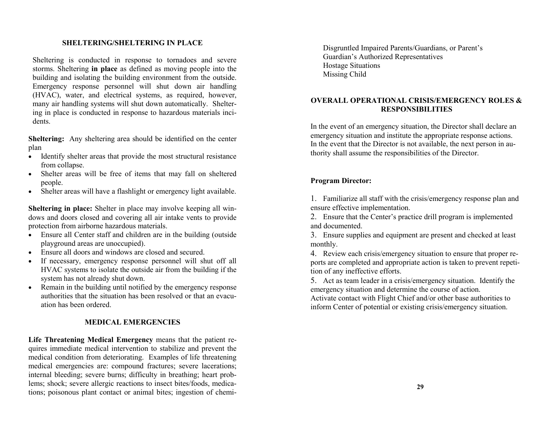#### **SHELTERING/SHELTERING IN PLACE**

Sheltering is conducted in response to tornadoes and severe storms. Sheltering **in place** as defined as moving people into the building and isolating the building environment from the outside. Emergency response personnel will shut down air handling (HVAC), water, and electrical systems, as required, however, many air handling systems will shut down automatically. Sheltering in place is conducted in response to hazardous materials incidents.

**Sheltering:** Any sheltering area should be identified on the center plan

- Identify shelter areas that provide the most structural resistance from collapse.
- Shelter areas will be free of items that may fall on sheltered people.
- Shelter areas will have a flashlight or emergency light available.

**Sheltering in place:** Shelter in place may involve keeping all windows and doors closed and covering all air intake vents to provide protection from airborne hazardous materials.

- Ensure all Center staff and children are in the building (outside playground areas are unoccupied).
- Ensure all doors and windows are closed and secured.
- If necessary, emergency response personnel will shut off all HVAC systems to isolate the outside air from the building if the system has not already shut down.
- Remain in the building until notified by the emergency response authorities that the situation has been resolved or that an evacuation has been ordered.

#### **MEDICAL EMERGENCIES**

**Life Threatening Medical Emergency** means that the patient requires immediate medical intervention to stabilize and prevent the medical condition from deteriorating. Examples of life threatening medical emergencies are: compound fractures; severe lacerations; internal bleeding; severe burns; difficulty in breathing; heart problems; shock; severe allergic reactions to insect bites/foods, medications; poisonous plant contact or animal bites; ingestion of chemiDisgruntled Impaired Parents/Guardians, or Parent's Guardian's Authorized Representatives Hostage Situations Missing Child

#### **OVERALL OPERATIONAL CRISIS/EMERGENCY ROLES & RESPONSIBILITIES**

In the event of an emergency situation, the Director shall declare an emergency situation and institute the appropriate response actions. In the event that the Director is not available, the next person in authority shall assume the responsibilities of the Director.

#### **Program Director:**

1. Familiarize all staff with the crisis/emergency response plan and ensure effective implementation.

2. Ensure that the Center's practice drill program is implemented and documented.

3. Ensure supplies and equipment are present and checked at least monthly.

4. Review each crisis/emergency situation to ensure that proper reports are completed and appropriate action is taken to prevent repetition of any ineffective efforts.

5. Act as team leader in a crisis/emergency situation. Identify the emergency situation and determine the course of action.

Activate contact with Flight Chief and/or other base authorities to inform Center of potential or existing crisis/emergency situation.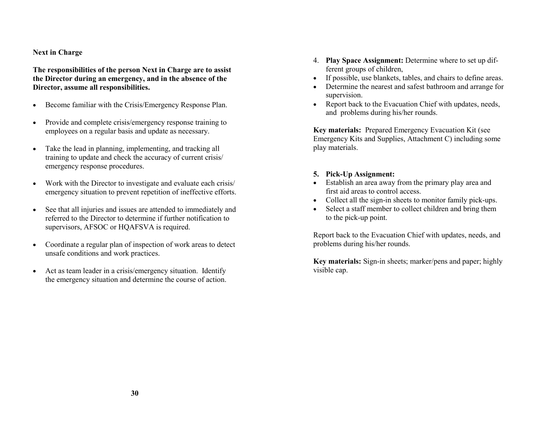#### **Next in Charge**

**The responsibilities of the person Next in Charge are to assist the Director during an emergency, and in the absence of the Director, assume all responsibilities.** 

- Become familiar with the Crisis/Emergency Response Plan.
- Provide and complete crisis/emergency response training to employees on a regular basis and update as necessary.
- Take the lead in planning, implementing, and tracking all training to update and check the accuracy of current crisis/ emergency response procedures.
- Work with the Director to investigate and evaluate each crisis/ emergency situation to prevent repetition of ineffective efforts.
- See that all injuries and issues are attended to immediately and referred to the Director to determine if further notification to supervisors, AFSOC or HQAFSVA is required.
- Coordinate a regular plan of inspection of work areas to detect unsafe conditions and work practices.
- Act as team leader in a crisis/emergency situation. Identify the emergency situation and determine the course of action.
- 4. **Play Space Assignment:** Determine where to set up different groups of children,
- If possible, use blankets, tables, and chairs to define areas.
- Determine the nearest and safest bathroom and arrange for supervision.
- Report back to the Evacuation Chief with updates, needs, and problems during his/her rounds.

**Key materials:** Prepared Emergency Evacuation Kit (see Emergency Kits and Supplies, Attachment C) including some play materials.

#### **5. Pick-Up Assignment:**

- Establish an area away from the primary play area and first aid areas to control access.
- Collect all the sign-in sheets to monitor family pick-ups.
- Select a staff member to collect children and bring them to the pick-up point.

Report back to the Evacuation Chief with updates, needs, and problems during his/her rounds.

**Key materials:** Sign-in sheets; marker/pens and paper; highly visible cap.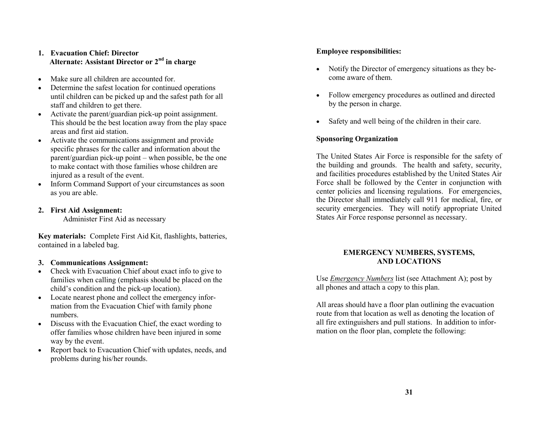#### **1. Evacuation Chief: Director Alternate: Assistant Director or 2nd in charge**

- Make sure all children are accounted for.
- Determine the safest location for continued operations until children can be picked up and the safest path for all staff and children to get there.
- Activate the parent/guardian pick-up point assignment. This should be the best location away from the play space areas and first aid station.
- Activate the communications assignment and provide specific phrases for the caller and information about the parent/guardian pick-up point – when possible, be the one to make contact with those families whose children are injured as a result of the event.
- Inform Command Support of your circumstances as soon as you are able.
- **2. First Aid Assignment:**  Administer First Aid as necessary

**Key materials:** Complete First Aid Kit, flashlights, batteries, contained in a labeled bag.

#### **3. Communications Assignment:**

- Check with Evacuation Chief about exact info to give to families when calling (emphasis should be placed on the child's condition and the pick-up location).
- Locate nearest phone and collect the emergency information from the Evacuation Chief with family phone numbers.
- Discuss with the Evacuation Chief, the exact wording to offer families whose children have been injured in some way by the event.
- Report back to Evacuation Chief with updates, needs, and problems during his/her rounds.

#### **Employee responsibilities:**

- Notify the Director of emergency situations as they become aware of them.
- Follow emergency procedures as outlined and directed by the person in charge.
- Safety and well being of the children in their care.

#### **Sponsoring Organization**

The United States Air Force is responsible for the safety of the building and grounds. The health and safety, security, and facilities procedures established by the United States Air Force shall be followed by the Center in conjunction with center policies and licensing regulations. For emergencies, the Director shall immediately call 911 for medical, fire, or security emergencies. They will notify appropriate United States Air Force response personnel as necessary.

#### **EMERGENCY NUMBERS, SYSTEMS, AND LOCATIONS**

Use *Emergency Numbers* list (see Attachment A); post by all phones and attach a copy to this plan.

All areas should have a floor plan outlining the evacuation route from that location as well as denoting the location of all fire extinguishers and pull stations. In addition to information on the floor plan, complete the following: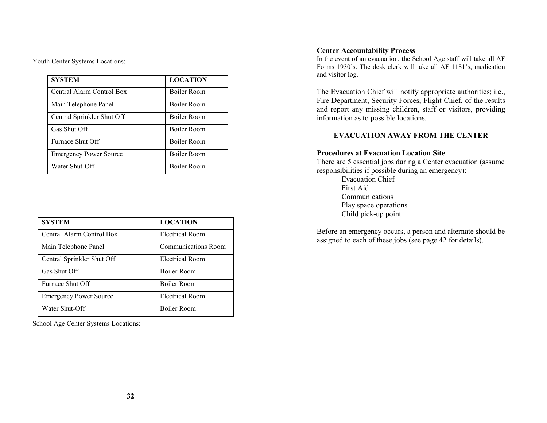Youth Center Systems Locations:

| <b>SYSTEM</b>                 | <b>LOCATION</b>    |
|-------------------------------|--------------------|
| Central Alarm Control Box     | <b>Boiler Room</b> |
| Main Telephone Panel          | <b>Boiler Room</b> |
| Central Sprinkler Shut Off    | Boiler Room        |
| Gas Shut Off                  | <b>Boiler Room</b> |
| Furnace Shut Off              | <b>Boiler Room</b> |
| <b>Emergency Power Source</b> | Boiler Room        |
| Water Shut-Off                | <b>Boiler Room</b> |

| <b>SYSTEM</b>                 | <b>LOCATION</b>        |
|-------------------------------|------------------------|
| Central Alarm Control Box     | Electrical Room        |
| Main Telephone Panel          | Communications Room    |
| Central Sprinkler Shut Off    | <b>Electrical Room</b> |
| Gas Shut Off                  | <b>Boiler Room</b>     |
| Furnace Shut Off              | <b>Boiler Room</b>     |
| <b>Emergency Power Source</b> | <b>Electrical Room</b> |
| Water Shut-Off                | <b>Boiler Room</b>     |

School Age Center Systems Locations:

#### **Center Accountability Process**

In the event of an evacuation, the School Age staff will take all AF Forms 1930's. The desk clerk will take all AF 1181's, medication and visitor log.

The Evacuation Chief will notify appropriate authorities; i.e., Fire Department, Security Forces, Flight Chief, of the results and report any missing children, staff or visitors, providing information as to possible locations.

#### **EVACUATION AWAY FROM THE CENTER**

#### **Procedures at Evacuation Location Site**

There are 5 essential jobs during a Center evacuation (assume responsibilities if possible during an emergency):

> Evacuation Chief First Aid Communications Play space operations Child pick-up point

Before an emergency occurs, a person and alternate should be assigned to each of these jobs (see page 42 for details).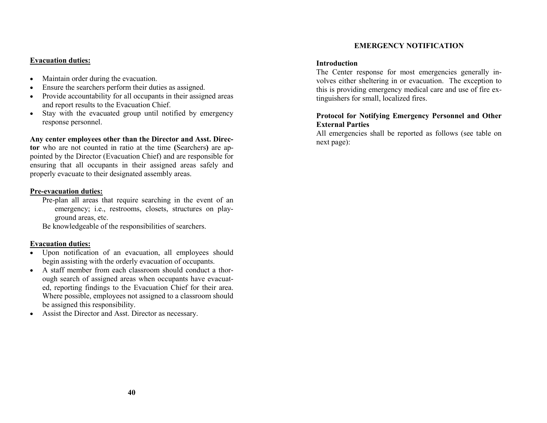#### **Evacuation duties:**

- Maintain order during the evacuation.
- Ensure the searchers perform their duties as assigned.
- Provide accountability for all occupants in their assigned areas and report results to the Evacuation Chief.
- Stay with the evacuated group until notified by emergency response personnel.

#### **Any center employees other than the Director and Asst. Direc-**

**tor** who are not counted in ratio at the time **(**Searchers**)** are appointed by the Director (Evacuation Chief) and are responsible for ensuring that all occupants in their assigned areas safely and properly evacuate to their designated assembly areas.

#### **Pre-evacuation duties:**

Pre-plan all areas that require searching in the event of an emergency; i.e., restrooms, closets, structures on playground areas, etc.

Be knowledgeable of the responsibilities of searchers.

#### **Evacuation duties:**

- Upon notification of an evacuation, all employees should begin assisting with the orderly evacuation of occupants.
- A staff member from each classroom should conduct a thorough search of assigned areas when occupants have evacuated, reporting findings to the Evacuation Chief for their area. Where possible, employees not assigned to a classroom should be assigned this responsibility.
- Assist the Director and Asst. Director as necessary.

#### **EMERGENCY NOTIFICATION**

#### **Introduction**

The Center response for most emergencies generally involves either sheltering in or evacuation. The exception to this is providing emergency medical care and use of fire extinguishers for small, localized fires.

#### **Protocol for Notifying Emergency Personnel and Other External Parties**

All emergencies shall be reported as follows (see table on next page):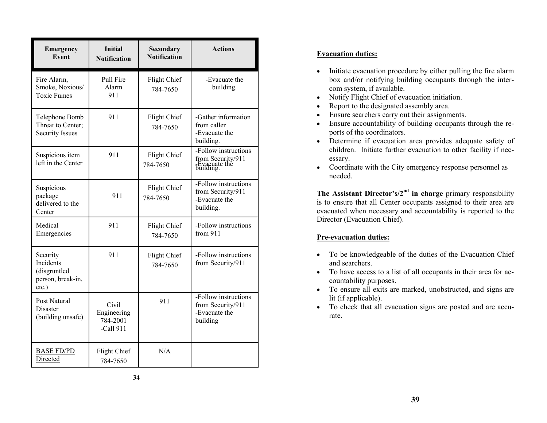| <b>Emergency</b><br>Event                                              | <b>Initial</b><br><b>Notification</b>           | <b>Secondary</b><br><b>Notification</b> | <b>Actions</b>                                                          |
|------------------------------------------------------------------------|-------------------------------------------------|-----------------------------------------|-------------------------------------------------------------------------|
| Fire Alarm,<br>Smoke, Noxious/<br><b>Toxic Fumes</b>                   | Pull Fire<br>Alarm<br>911                       | Flight Chief<br>784-7650                | -Evacuate the<br>building.                                              |
| Telephone Bomb<br>Threat to Center;<br><b>Security Issues</b>          | 911                                             | Flight Chief<br>784-7650                | -Gather information<br>from caller<br>-Evacuate the<br>building.        |
| Suspicious item<br>left in the Center                                  | 911                                             | Flight Chief<br>784-7650                | -Follow instructions<br>from Security/911<br>-Evacuate the<br>building. |
| Suspicious<br>package<br>delivered to the<br>Center                    | 911                                             | Flight Chief<br>784-7650                | -Follow instructions<br>from Security/911<br>-Evacuate the<br>building. |
| Medical<br>Emergencies                                                 | 911                                             | Flight Chief<br>784-7650                | -Follow instructions<br>from 911                                        |
| Security<br>Incidents<br>(disgruntled<br>person, break-in,<br>$etc.$ ) | 911                                             | Flight Chief<br>784-7650                | -Follow instructions<br>from Security/911                               |
| Post Natural<br>Disaster<br>(building unsafe)                          | Civil<br>Engineering<br>784-2001<br>$-Call 911$ | 911                                     | -Follow instructions<br>from Security/911<br>-Evacuate the<br>building  |
| <b>BASE FD/PD</b><br>Directed                                          | Flight Chief<br>784-7650                        | N/A                                     |                                                                         |

#### **Evacuation duties:**

- Initiate evacuation procedure by either pulling the fire alarm box and/or notifying building occupants through the intercom system, if available.
- Notify Flight Chief of evacuation initiation.
- Report to the designated assembly area.
- Ensure searchers carry out their assignments.
- Ensure accountability of building occupants through the reports of the coordinators.
- Determine if evacuation area provides adequate safety of children. Initiate further evacuation to other facility if necessary.
- Coordinate with the City emergency response personnel as needed.

**The Assistant Director's/2nd in charge** primary responsibility is to ensure that all Center occupants assigned to their area are evacuated when necessary and accountability is reported to the Director (Evacuation Chief).

### **Pre-evacuation duties:**

- To be knowledgeable of the duties of the Evacuation Chief and searchers.
- To have access to a list of all occupants in their area for accountability purposes.
- To ensure all exits are marked, unobstructed, and signs are lit (if applicable).
- To check that all evacuation signs are posted and are accurate.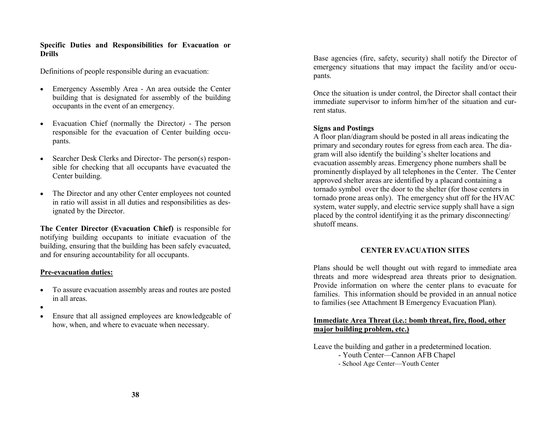#### **Specific Duties and Responsibilities for Evacuation or Drills**

Definitions of people responsible during an evacuation:

- Emergency Assembly Area An area outside the Center building that is designated for assembly of the building occupants in the event of an emergency.
- Evacuation Chief (normally the Director*)* The person responsible for the evacuation of Center building occupants.
- Searcher Desk Clerks and Director- The person(s) responsible for checking that all occupants have evacuated the Center building.
- The Director and any other Center employees not counted in ratio will assist in all duties and responsibilities as designated by the Director.

**The Center Director (Evacuation Chief)** is responsible for notifying building occupants to initiate evacuation of the building, ensuring that the building has been safely evacuated, and for ensuring accountability for all occupants.

#### **Pre-evacuation duties:**

- To assure evacuation assembly areas and routes are posted in all areas.
- $\bullet$
- Ensure that all assigned employees are knowledgeable of how, when, and where to evacuate when necessary.

Base agencies (fire, safety, security) shall notify the Director of emergency situations that may impact the facility and/or occupants.

Once the situation is under control, the Director shall contact their immediate supervisor to inform him/her of the situation and current status.

#### **Signs and Postings**

A floor plan/diagram should be posted in all areas indicating the primary and secondary routes for egress from each area. The diagram will also identify the building's shelter locations and evacuation assembly areas. Emergency phone numbers shall be prominently displayed by all telephones in the Center. The Center approved shelter areas are identified by a placard containing a tornado symbol over the door to the shelter (for those centers in tornado prone areas only). The emergency shut off for the HVAC system, water supply, and electric service supply shall have a sign placed by the control identifying it as the primary disconnecting/ shutoff means.

#### **CENTER EVACUATION SITES**

Plans should be well thought out with regard to immediate area threats and more widespread area threats prior to designation. Provide information on where the center plans to evacuate for families. This information should be provided in an annual notice to families (see Attachment B Emergency Evacuation Plan).

#### **Immediate Area Threat (i.e.: bomb threat, fire, flood, other major building problem, etc.)**

Leave the building and gather in a predetermined location.

- Youth Center—Cannon AFB Chapel
- School Age Center—Youth Center